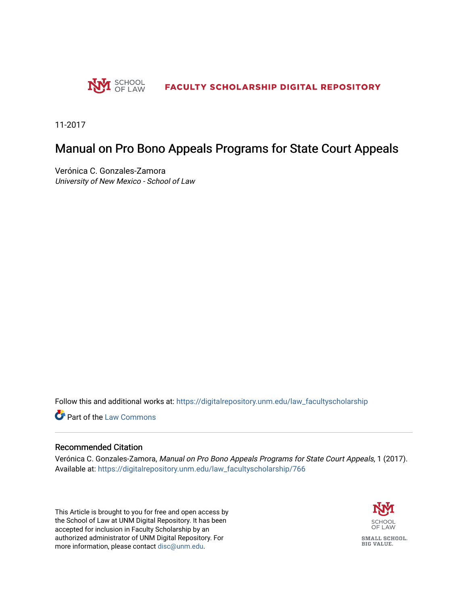

11-2017

## Manual on Pro Bono Appeals Programs for State Court Appeals

Verónica C. Gonzales-Zamora University of New Mexico - School of Law

Follow this and additional works at: [https://digitalrepository.unm.edu/law\\_facultyscholarship](https://digitalrepository.unm.edu/law_facultyscholarship?utm_source=digitalrepository.unm.edu%2Flaw_facultyscholarship%2F766&utm_medium=PDF&utm_campaign=PDFCoverPages) 

**C** Part of the [Law Commons](http://network.bepress.com/hgg/discipline/578?utm_source=digitalrepository.unm.edu%2Flaw_facultyscholarship%2F766&utm_medium=PDF&utm_campaign=PDFCoverPages)

#### Recommended Citation

Verónica C. Gonzales-Zamora, Manual on Pro Bono Appeals Programs for State Court Appeals, 1 (2017). Available at: [https://digitalrepository.unm.edu/law\\_facultyscholarship/766](https://digitalrepository.unm.edu/law_facultyscholarship/766?utm_source=digitalrepository.unm.edu%2Flaw_facultyscholarship%2F766&utm_medium=PDF&utm_campaign=PDFCoverPages) 

This Article is brought to you for free and open access by the School of Law at UNM Digital Repository. It has been accepted for inclusion in Faculty Scholarship by an authorized administrator of UNM Digital Repository. For more information, please contact [disc@unm.edu](mailto:disc@unm.edu).

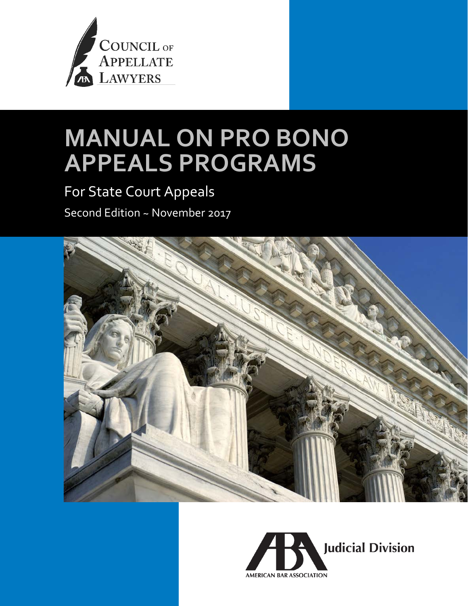

# **MANUAL ON PRO BONO APPEALS PROGRAMS**

## For State Court Appeals

Second Edition ~ November 2017



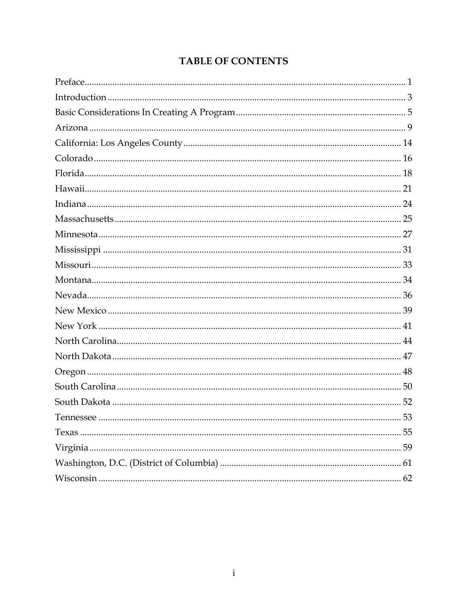## **TABLE OF CONTENTS**

| 52 |
|----|
|    |
|    |
| 59 |
|    |
|    |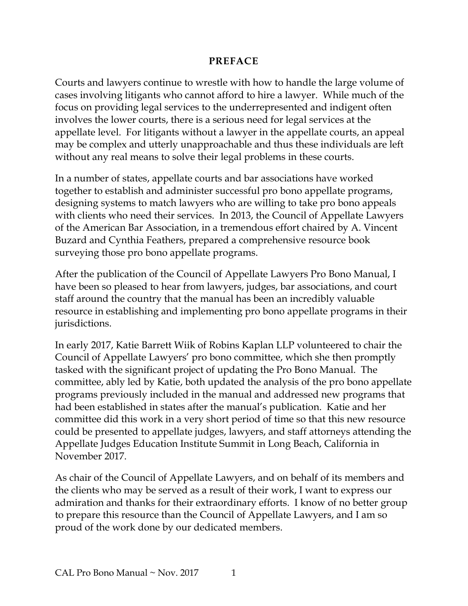#### **PREFACE**

<span id="page-3-0"></span>Courts and lawyers continue to wrestle with how to handle the large volume of cases involving litigants who cannot afford to hire a lawyer. While much of the focus on providing legal services to the underrepresented and indigent often involves the lower courts, there is a serious need for legal services at the appellate level. For litigants without a lawyer in the appellate courts, an appeal may be complex and utterly unapproachable and thus these individuals are left without any real means to solve their legal problems in these courts.

In a number of states, appellate courts and bar associations have worked together to establish and administer successful pro bono appellate programs, designing systems to match lawyers who are willing to take pro bono appeals with clients who need their services. In 2013, the Council of Appellate Lawyers of the American Bar Association, in a tremendous effort chaired by A. Vincent Buzard and Cynthia Feathers, prepared a comprehensive resource book surveying those pro bono appellate programs.

After the publication of the Council of Appellate Lawyers Pro Bono Manual, I have been so pleased to hear from lawyers, judges, bar associations, and court staff around the country that the manual has been an incredibly valuable resource in establishing and implementing pro bono appellate programs in their jurisdictions.

In early 2017, Katie Barrett Wiik of Robins Kaplan LLP volunteered to chair the Council of Appellate Lawyers' pro bono committee, which she then promptly tasked with the significant project of updating the Pro Bono Manual. The committee, ably led by Katie, both updated the analysis of the pro bono appellate programs previously included in the manual and addressed new programs that had been established in states after the manual's publication. Katie and her committee did this work in a very short period of time so that this new resource could be presented to appellate judges, lawyers, and staff attorneys attending the Appellate Judges Education Institute Summit in Long Beach, California in November 2017.

As chair of the Council of Appellate Lawyers, and on behalf of its members and the clients who may be served as a result of their work, I want to express our admiration and thanks for their extraordinary efforts. I know of no better group to prepare this resource than the Council of Appellate Lawyers, and I am so proud of the work done by our dedicated members.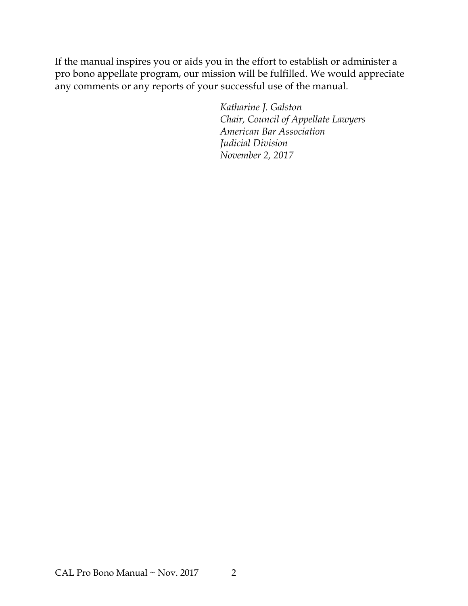If the manual inspires you or aids you in the effort to establish or administer a pro bono appellate program, our mission will be fulfilled. We would appreciate any comments or any reports of your successful use of the manual.

> *Katharine J. Galston Chair, Council of Appellate Lawyers American Bar Association Judicial Division November 2, 2017*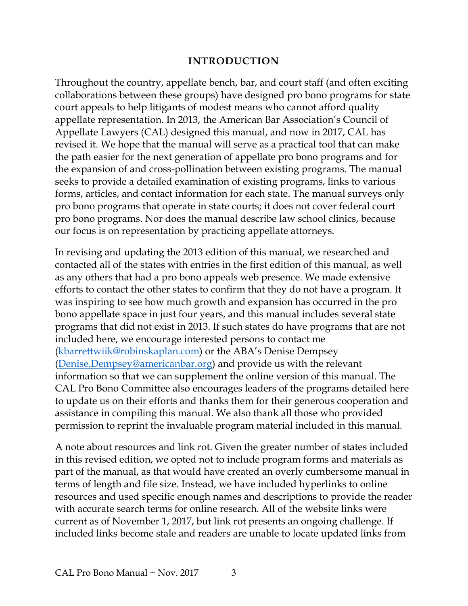#### **INTRODUCTION**

<span id="page-5-0"></span>Throughout the country, appellate bench, bar, and court staff (and often exciting collaborations between these groups) have designed pro bono programs for state court appeals to help litigants of modest means who cannot afford quality appellate representation. In 2013, the American Bar Association's Council of Appellate Lawyers (CAL) designed this manual, and now in 2017, CAL has revised it. We hope that the manual will serve as a practical tool that can make the path easier for the next generation of appellate pro bono programs and for the expansion of and cross-pollination between existing programs. The manual seeks to provide a detailed examination of existing programs, links to various forms, articles, and contact information for each state. The manual surveys only pro bono programs that operate in state courts; it does not cover federal court pro bono programs. Nor does the manual describe law school clinics, because our focus is on representation by practicing appellate attorneys.

In revising and updating the 2013 edition of this manual, we researched and contacted all of the states with entries in the first edition of this manual, as well as any others that had a pro bono appeals web presence. We made extensive efforts to contact the other states to confirm that they do not have a program. It was inspiring to see how much growth and expansion has occurred in the pro bono appellate space in just four years, and this manual includes several state programs that did not exist in 2013. If such states do have programs that are not included here, we encourage interested persons to contact me [\(kbarrettwiik@robinskaplan.com\)](mailto:kbarrettwiik@robinskaplan.com) or the ABA's Denise Dempsey [\(Denise.Dempsey@americanbar.org\)](mailto:Denise.Dempsey@americanbar.org) and provide us with the relevant information so that we can supplement the online version of this manual. The CAL Pro Bono Committee also encourages leaders of the programs detailed here to update us on their efforts and thanks them for their generous cooperation and assistance in compiling this manual. We also thank all those who provided permission to reprint the invaluable program material included in this manual.

A note about resources and link rot. Given the greater number of states included in this revised edition, we opted not to include program forms and materials as part of the manual, as that would have created an overly cumbersome manual in terms of length and file size. Instead, we have included hyperlinks to online resources and used specific enough names and descriptions to provide the reader with accurate search terms for online research. All of the website links were current as of November 1, 2017, but link rot presents an ongoing challenge. If included links become stale and readers are unable to locate updated links from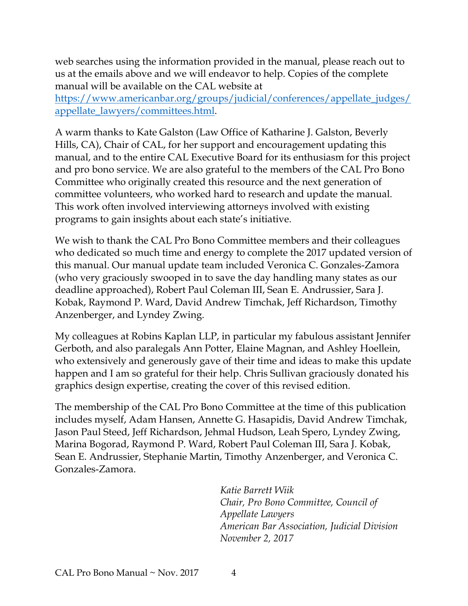web searches using the information provided in the manual, please reach out to us at the emails above and we will endeavor to help. Copies of the complete manual will be available on the CAL website at

[https://www.americanbar.org/groups/judicial/conferences/appellate\\_judges/](https://www.americanbar.org/groups/judicial/conferences/appellate_judges/appellate_lawyers/committees.html) [appellate\\_lawyers/committees.html.](https://www.americanbar.org/groups/judicial/conferences/appellate_judges/appellate_lawyers/committees.html)

A warm thanks to Kate Galston (Law Office of Katharine J. Galston, Beverly Hills, CA), Chair of CAL, for her support and encouragement updating this manual, and to the entire CAL Executive Board for its enthusiasm for this project and pro bono service. We are also grateful to the members of the CAL Pro Bono Committee who originally created this resource and the next generation of committee volunteers, who worked hard to research and update the manual. This work often involved interviewing attorneys involved with existing programs to gain insights about each state's initiative.

We wish to thank the CAL Pro Bono Committee members and their colleagues who dedicated so much time and energy to complete the 2017 updated version of this manual. Our manual update team included Veronica C. Gonzales-Zamora (who very graciously swooped in to save the day handling many states as our deadline approached), Robert Paul Coleman III, Sean E. Andrussier, Sara J. Kobak, Raymond P. Ward, David Andrew Timchak, Jeff Richardson, Timothy Anzenberger, and Lyndey Zwing.

My colleagues at Robins Kaplan LLP, in particular my fabulous assistant Jennifer Gerboth, and also paralegals Ann Potter, Elaine Magnan, and Ashley Hoellein, who extensively and generously gave of their time and ideas to make this update happen and I am so grateful for their help. Chris Sullivan graciously donated his graphics design expertise, creating the cover of this revised edition.

The membership of the CAL Pro Bono Committee at the time of this publication includes myself, Adam Hansen, Annette G. Hasapidis, David Andrew Timchak, Jason Paul Steed, Jeff Richardson, Jehmal Hudson, Leah Spero, Lyndey Zwing, Marina Bogorad, Raymond P. Ward, Robert Paul Coleman III, Sara J. Kobak, Sean E. Andrussier, Stephanie Martin, Timothy Anzenberger, and Veronica C. Gonzales-Zamora.

> *Katie Barrett Wiik Chair, Pro Bono Committee, Council of Appellate Lawyers American Bar Association, Judicial Division November 2, 2017*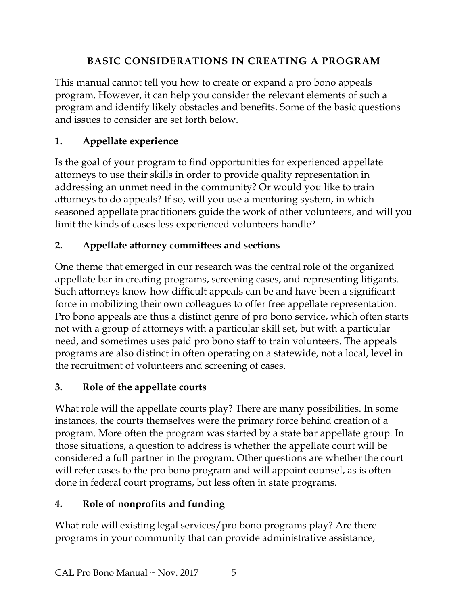## **BASIC CONSIDERATIONS IN CREATING A PROGRAM**

<span id="page-7-0"></span>This manual cannot tell you how to create or expand a pro bono appeals program. However, it can help you consider the relevant elements of such a program and identify likely obstacles and benefits. Some of the basic questions and issues to consider are set forth below.

## **1. Appellate experience**

Is the goal of your program to find opportunities for experienced appellate attorneys to use their skills in order to provide quality representation in addressing an unmet need in the community? Or would you like to train attorneys to do appeals? If so, will you use a mentoring system, in which seasoned appellate practitioners guide the work of other volunteers, and will you limit the kinds of cases less experienced volunteers handle?

## **2. Appellate attorney committees and sections**

One theme that emerged in our research was the central role of the organized appellate bar in creating programs, screening cases, and representing litigants. Such attorneys know how difficult appeals can be and have been a significant force in mobilizing their own colleagues to offer free appellate representation. Pro bono appeals are thus a distinct genre of pro bono service, which often starts not with a group of attorneys with a particular skill set, but with a particular need, and sometimes uses paid pro bono staff to train volunteers. The appeals programs are also distinct in often operating on a statewide, not a local, level in the recruitment of volunteers and screening of cases.

## **3. Role of the appellate courts**

What role will the appellate courts play? There are many possibilities. In some instances, the courts themselves were the primary force behind creation of a program. More often the program was started by a state bar appellate group. In those situations, a question to address is whether the appellate court will be considered a full partner in the program. Other questions are whether the court will refer cases to the pro bono program and will appoint counsel, as is often done in federal court programs, but less often in state programs.

## **4. Role of nonprofits and funding**

What role will existing legal services/pro bono programs play? Are there programs in your community that can provide administrative assistance,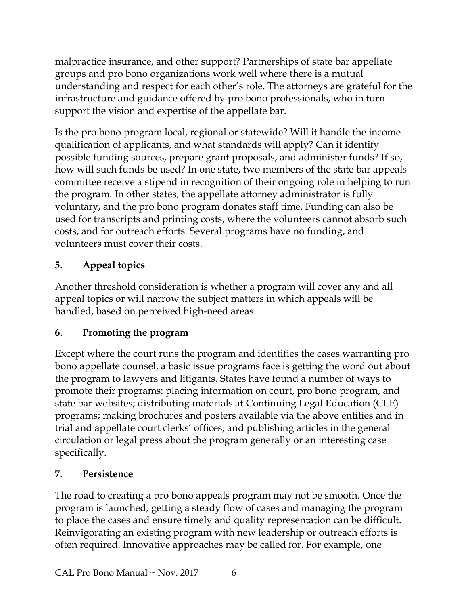malpractice insurance, and other support? Partnerships of state bar appellate groups and pro bono organizations work well where there is a mutual understanding and respect for each other's role. The attorneys are grateful for the infrastructure and guidance offered by pro bono professionals, who in turn support the vision and expertise of the appellate bar.

Is the pro bono program local, regional or statewide? Will it handle the income qualification of applicants, and what standards will apply? Can it identify possible funding sources, prepare grant proposals, and administer funds? If so, how will such funds be used? In one state, two members of the state bar appeals committee receive a stipend in recognition of their ongoing role in helping to run the program. In other states, the appellate attorney administrator is fully voluntary, and the pro bono program donates staff time. Funding can also be used for transcripts and printing costs, where the volunteers cannot absorb such costs, and for outreach efforts. Several programs have no funding, and volunteers must cover their costs.

## **5. Appeal topics**

Another threshold consideration is whether a program will cover any and all appeal topics or will narrow the subject matters in which appeals will be handled, based on perceived high-need areas.

## **6. Promoting the program**

Except where the court runs the program and identifies the cases warranting pro bono appellate counsel, a basic issue programs face is getting the word out about the program to lawyers and litigants. States have found a number of ways to promote their programs: placing information on court, pro bono program, and state bar websites; distributing materials at Continuing Legal Education (CLE) programs; making brochures and posters available via the above entities and in trial and appellate court clerks' offices; and publishing articles in the general circulation or legal press about the program generally or an interesting case specifically.

## **7. Persistence**

The road to creating a pro bono appeals program may not be smooth. Once the program is launched, getting a steady flow of cases and managing the program to place the cases and ensure timely and quality representation can be difficult. Reinvigorating an existing program with new leadership or outreach efforts is often required. Innovative approaches may be called for. For example, one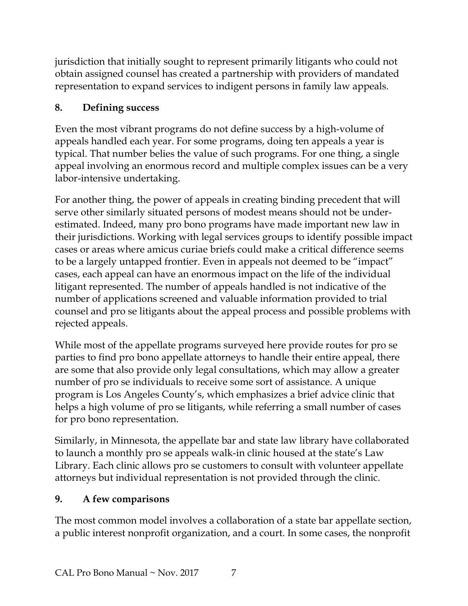jurisdiction that initially sought to represent primarily litigants who could not obtain assigned counsel has created a partnership with providers of mandated representation to expand services to indigent persons in family law appeals.

## **8. Defining success**

Even the most vibrant programs do not define success by a high-volume of appeals handled each year. For some programs, doing ten appeals a year is typical. That number belies the value of such programs. For one thing, a single appeal involving an enormous record and multiple complex issues can be a very labor-intensive undertaking.

For another thing, the power of appeals in creating binding precedent that will serve other similarly situated persons of modest means should not be underestimated. Indeed, many pro bono programs have made important new law in their jurisdictions. Working with legal services groups to identify possible impact cases or areas where amicus curiae briefs could make a critical difference seems to be a largely untapped frontier. Even in appeals not deemed to be "impact" cases, each appeal can have an enormous impact on the life of the individual litigant represented. The number of appeals handled is not indicative of the number of applications screened and valuable information provided to trial counsel and pro se litigants about the appeal process and possible problems with rejected appeals.

While most of the appellate programs surveyed here provide routes for pro se parties to find pro bono appellate attorneys to handle their entire appeal, there are some that also provide only legal consultations, which may allow a greater number of pro se individuals to receive some sort of assistance. A unique program is Los Angeles County's, which emphasizes a brief advice clinic that helps a high volume of pro se litigants, while referring a small number of cases for pro bono representation.

Similarly, in Minnesota, the appellate bar and state law library have collaborated to launch a monthly pro se appeals walk-in clinic housed at the state's Law Library. Each clinic allows pro se customers to consult with volunteer appellate attorneys but individual representation is not provided through the clinic.

## **9. A few comparisons**

The most common model involves a collaboration of a state bar appellate section, a public interest nonprofit organization, and a court. In some cases, the nonprofit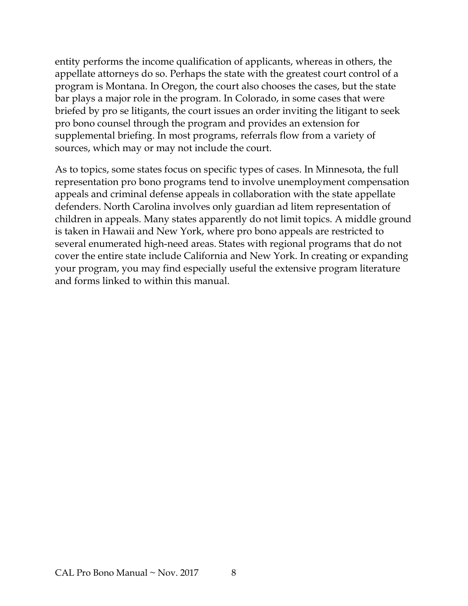entity performs the income qualification of applicants, whereas in others, the appellate attorneys do so. Perhaps the state with the greatest court control of a program is Montana. In Oregon, the court also chooses the cases, but the state bar plays a major role in the program. In Colorado, in some cases that were briefed by pro se litigants, the court issues an order inviting the litigant to seek pro bono counsel through the program and provides an extension for supplemental briefing. In most programs, referrals flow from a variety of sources, which may or may not include the court.

As to topics, some states focus on specific types of cases. In Minnesota, the full representation pro bono programs tend to involve unemployment compensation appeals and criminal defense appeals in collaboration with the state appellate defenders. North Carolina involves only guardian ad litem representation of children in appeals. Many states apparently do not limit topics. A middle ground is taken in Hawaii and New York, where pro bono appeals are restricted to several enumerated high-need areas. States with regional programs that do not cover the entire state include California and New York. In creating or expanding your program, you may find especially useful the extensive program literature and forms linked to within this manual.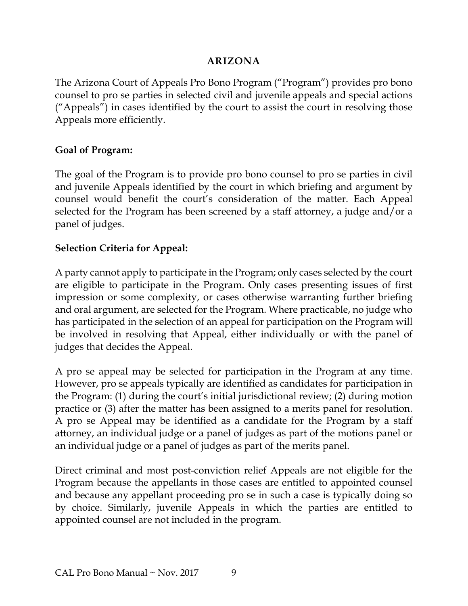#### **ARIZONA**

<span id="page-11-0"></span>The Arizona Court of Appeals Pro Bono Program ("Program") provides pro bono counsel to pro se parties in selected civil and juvenile appeals and special actions ("Appeals") in cases identified by the court to assist the court in resolving those Appeals more efficiently.

#### **Goal of Program:**

The goal of the Program is to provide pro bono counsel to pro se parties in civil and juvenile Appeals identified by the court in which briefing and argument by counsel would benefit the court's consideration of the matter. Each Appeal selected for the Program has been screened by a staff attorney, a judge and/or a panel of judges.

#### **Selection Criteria for Appeal:**

A party cannot apply to participate in the Program; only cases selected by the court are eligible to participate in the Program. Only cases presenting issues of first impression or some complexity, or cases otherwise warranting further briefing and oral argument, are selected for the Program. Where practicable, no judge who has participated in the selection of an appeal for participation on the Program will be involved in resolving that Appeal, either individually or with the panel of judges that decides the Appeal.

A pro se appeal may be selected for participation in the Program at any time. However, pro se appeals typically are identified as candidates for participation in the Program: (1) during the court's initial jurisdictional review; (2) during motion practice or (3) after the matter has been assigned to a merits panel for resolution. A pro se Appeal may be identified as a candidate for the Program by a staff attorney, an individual judge or a panel of judges as part of the motions panel or an individual judge or a panel of judges as part of the merits panel.

Direct criminal and most post-conviction relief Appeals are not eligible for the Program because the appellants in those cases are entitled to appointed counsel and because any appellant proceeding pro se in such a case is typically doing so by choice. Similarly, juvenile Appeals in which the parties are entitled to appointed counsel are not included in the program.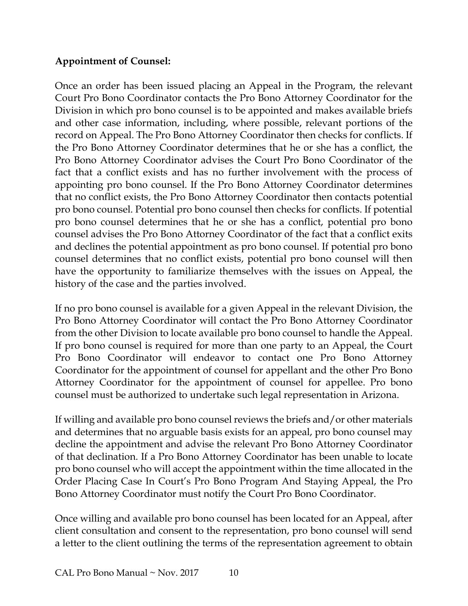#### **Appointment of Counsel:**

Once an order has been issued placing an Appeal in the Program, the relevant Court Pro Bono Coordinator contacts the Pro Bono Attorney Coordinator for the Division in which pro bono counsel is to be appointed and makes available briefs and other case information, including, where possible, relevant portions of the record on Appeal. The Pro Bono Attorney Coordinator then checks for conflicts. If the Pro Bono Attorney Coordinator determines that he or she has a conflict, the Pro Bono Attorney Coordinator advises the Court Pro Bono Coordinator of the fact that a conflict exists and has no further involvement with the process of appointing pro bono counsel. If the Pro Bono Attorney Coordinator determines that no conflict exists, the Pro Bono Attorney Coordinator then contacts potential pro bono counsel. Potential pro bono counsel then checks for conflicts. If potential pro bono counsel determines that he or she has a conflict, potential pro bono counsel advises the Pro Bono Attorney Coordinator of the fact that a conflict exits and declines the potential appointment as pro bono counsel. If potential pro bono counsel determines that no conflict exists, potential pro bono counsel will then have the opportunity to familiarize themselves with the issues on Appeal, the history of the case and the parties involved.

If no pro bono counsel is available for a given Appeal in the relevant Division, the Pro Bono Attorney Coordinator will contact the Pro Bono Attorney Coordinator from the other Division to locate available pro bono counsel to handle the Appeal. If pro bono counsel is required for more than one party to an Appeal, the Court Pro Bono Coordinator will endeavor to contact one Pro Bono Attorney Coordinator for the appointment of counsel for appellant and the other Pro Bono Attorney Coordinator for the appointment of counsel for appellee. Pro bono counsel must be authorized to undertake such legal representation in Arizona.

If willing and available pro bono counsel reviews the briefs and/or other materials and determines that no arguable basis exists for an appeal, pro bono counsel may decline the appointment and advise the relevant Pro Bono Attorney Coordinator of that declination. If a Pro Bono Attorney Coordinator has been unable to locate pro bono counsel who will accept the appointment within the time allocated in the Order Placing Case In Court's Pro Bono Program And Staying Appeal, the Pro Bono Attorney Coordinator must notify the Court Pro Bono Coordinator.

Once willing and available pro bono counsel has been located for an Appeal, after client consultation and consent to the representation, pro bono counsel will send a letter to the client outlining the terms of the representation agreement to obtain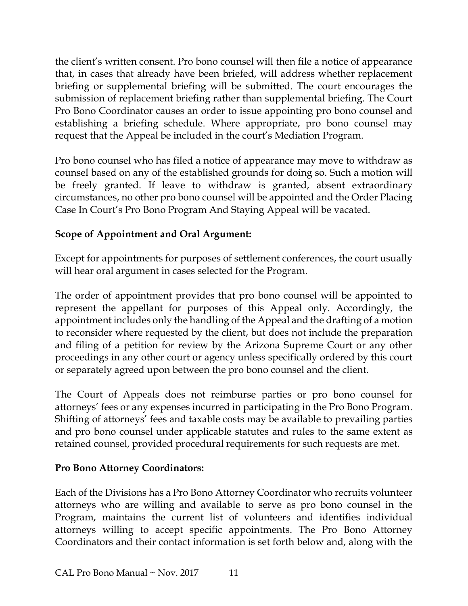the client's written consent. Pro bono counsel will then file a notice of appearance that, in cases that already have been briefed, will address whether replacement briefing or supplemental briefing will be submitted. The court encourages the submission of replacement briefing rather than supplemental briefing. The Court Pro Bono Coordinator causes an order to issue appointing pro bono counsel and establishing a briefing schedule. Where appropriate, pro bono counsel may request that the Appeal be included in the court's Mediation Program.

Pro bono counsel who has filed a notice of appearance may move to withdraw as counsel based on any of the established grounds for doing so. Such a motion will be freely granted. If leave to withdraw is granted, absent extraordinary circumstances, no other pro bono counsel will be appointed and the Order Placing Case In Court's Pro Bono Program And Staying Appeal will be vacated.

#### **Scope of Appointment and Oral Argument:**

Except for appointments for purposes of settlement conferences, the court usually will hear oral argument in cases selected for the Program.

The order of appointment provides that pro bono counsel will be appointed to represent the appellant for purposes of this Appeal only. Accordingly, the appointment includes only the handling of the Appeal and the drafting of a motion to reconsider where requested by the client, but does not include the preparation and filing of a petition for review by the Arizona Supreme Court or any other proceedings in any other court or agency unless specifically ordered by this court or separately agreed upon between the pro bono counsel and the client.

The Court of Appeals does not reimburse parties or pro bono counsel for attorneys' fees or any expenses incurred in participating in the Pro Bono Program. Shifting of attorneys' fees and taxable costs may be available to prevailing parties and pro bono counsel under applicable statutes and rules to the same extent as retained counsel, provided procedural requirements for such requests are met.

#### **Pro Bono Attorney Coordinators:**

Each of the Divisions has a Pro Bono Attorney Coordinator who recruits volunteer attorneys who are willing and available to serve as pro bono counsel in the Program, maintains the current list of volunteers and identifies individual attorneys willing to accept specific appointments. The Pro Bono Attorney Coordinators and their contact information is set forth below and, along with the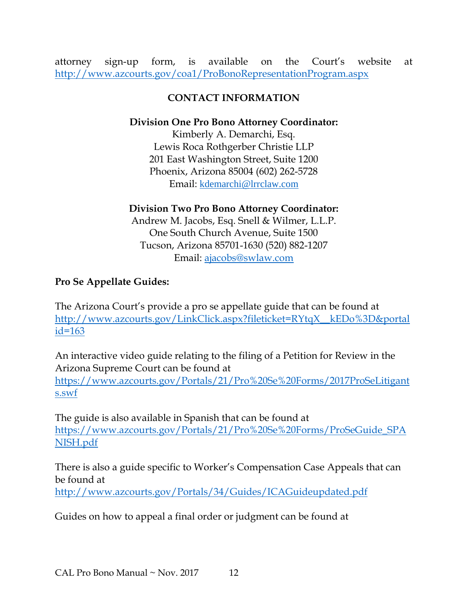attorney sign-up form, is available on the Court's website at <http://www.azcourts.gov/coa1/ProBonoRepresentationProgram.aspx>

#### **CONTACT INFORMATION**

#### **Division One Pro Bono Attorney Coordinator:**

Kimberly A. Demarchi, Esq. Lewis Roca Rothgerber Christie LLP 201 East Washington Street, Suite 1200 Phoenix, Arizona 85004 (602) 262-5728 Email: [kdemarchi@lrrclaw.com](mailto:kdemarchi@lrrclaw.com)

#### **Division Two Pro Bono Attorney Coordinator:**

Andrew M. Jacobs, Esq. Snell & Wilmer, L.L.P. One South Church Avenue, Suite 1500 Tucson, Arizona 85701-1630 (520) 882-1207 Email: [ajacobs@swlaw.com](mailto:ajacobs@swlaw.com)

#### **Pro Se Appellate Guides:**

The Arizona Court's provide a pro se appellate guide that can be found at [http://www.azcourts.gov/LinkClick.aspx?fileticket=RYtqX\\_\\_kEDo%3D&portal](http://www.azcourts.gov/LinkClick.aspx?fileticket=RYtqX__kEDo%3D&portalid=163) [id=163](http://www.azcourts.gov/LinkClick.aspx?fileticket=RYtqX__kEDo%3D&portalid=163)

An interactive video guide relating to the filing of a Petition for Review in the Arizona Supreme Court can be found at

[https://www.azcourts.gov/Portals/21/Pro%20Se%20Forms/2017ProSeLitigant](https://www.azcourts.gov/Portals/21/Pro%20Se%20Forms/2017ProSeLitigants.swf) [s.swf](https://www.azcourts.gov/Portals/21/Pro%20Se%20Forms/2017ProSeLitigants.swf)

The guide is also available in Spanish that can be found at [https://www.azcourts.gov/Portals/21/Pro%20Se%20Forms/ProSeGuide\\_SPA](https://www.azcourts.gov/Portals/21/Pro%20Se%20Forms/ProSeGuide_SPANISH.pdf) [NISH.pdf](https://www.azcourts.gov/Portals/21/Pro%20Se%20Forms/ProSeGuide_SPANISH.pdf)

There is also a guide specific to Worker's Compensation Case Appeals that can be found at <http://www.azcourts.gov/Portals/34/Guides/ICAGuideupdated.pdf>

Guides on how to appeal a final order or judgment can be found at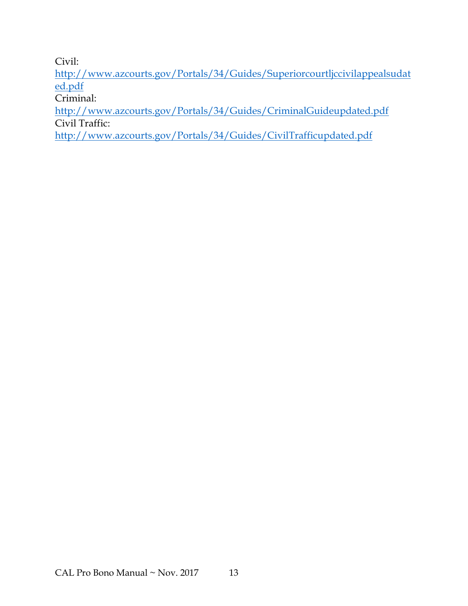Civil:

[http://www.azcourts.gov/Portals/34/Guides/Superiorcourtljccivilappealsudat](http://www.azcourts.gov/Portals/34/Guides/Superiorcourtljccivilappealsudated.pdf) [ed.pdf](http://www.azcourts.gov/Portals/34/Guides/Superiorcourtljccivilappealsudated.pdf)

Criminal:

<http://www.azcourts.gov/Portals/34/Guides/CriminalGuideupdated.pdf> Civil Traffic:

<http://www.azcourts.gov/Portals/34/Guides/CivilTrafficupdated.pdf>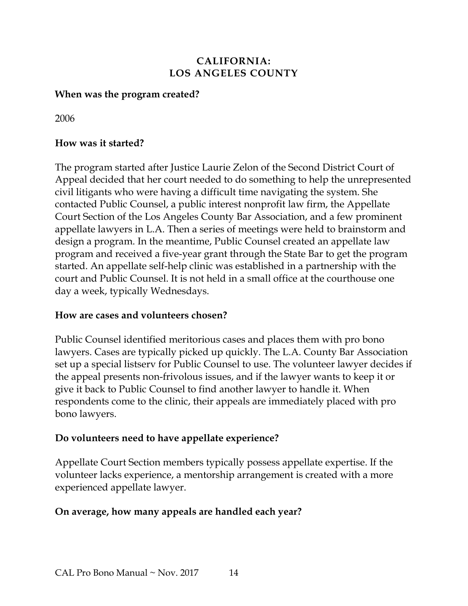#### **CALIFORNIA: LOS ANGELES COUNTY**

#### <span id="page-16-0"></span>**When was the program created?**

2006

#### **How was it started?**

The program started after Justice Laurie Zelon of the Second District Court of Appeal decided that her court needed to do something to help the unrepresented civil litigants who were having a difficult time navigating the system. She contacted Public Counsel, a public interest nonprofit law firm, the Appellate Court Section of the Los Angeles County Bar Association, and a few prominent appellate lawyers in L.A. Then a series of meetings were held to brainstorm and design a program. In the meantime, Public Counsel created an appellate law program and received a five-year grant through the State Bar to get the program started. An appellate self-help clinic was established in a partnership with the court and Public Counsel. It is not held in a small office at the courthouse one day a week, typically Wednesdays.

#### **How are cases and volunteers chosen?**

Public Counsel identified meritorious cases and places them with pro bono lawyers. Cases are typically picked up quickly. The L.A. County Bar Association set up a special listserv for Public Counsel to use. The volunteer lawyer decides if the appeal presents non-frivolous issues, and if the lawyer wants to keep it or give it back to Public Counsel to find another lawyer to handle it. When respondents come to the clinic, their appeals are immediately placed with pro bono lawyers.

#### **Do volunteers need to have appellate experience?**

Appellate Court Section members typically possess appellate expertise. If the volunteer lacks experience, a mentorship arrangement is created with a more experienced appellate lawyer.

#### **On average, how many appeals are handled each year?**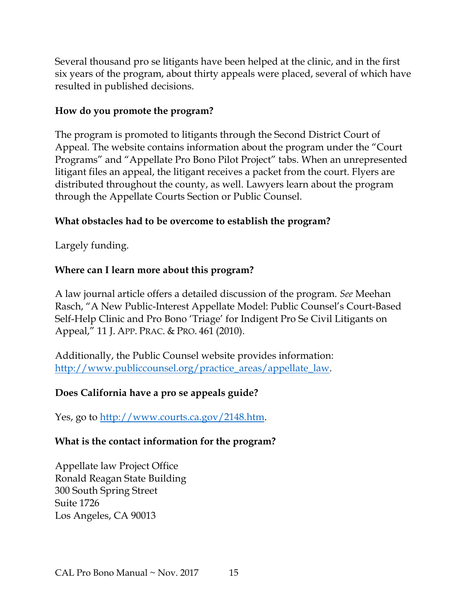Several thousand pro se litigants have been helped at the clinic, and in the first six years of the program, about thirty appeals were placed, several of which have resulted in published decisions.

#### **How do you promote the program?**

The program is promoted to litigants through the Second District Court of Appeal. The website contains information about the program under the "Court Programs" and "Appellate Pro Bono Pilot Project" tabs. When an unrepresented litigant files an appeal, the litigant receives a packet from the court. Flyers are distributed throughout the county, as well. Lawyers learn about the program through the Appellate Courts Section or Public Counsel.

#### **What obstacles had to be overcome to establish the program?**

Largely funding.

#### **Where can I learn more about this program?**

A law journal article offers a detailed discussion of the program. *See* Meehan Rasch, "A New Public-Interest Appellate Model: Public Counsel's Court-Based Self-Help Clinic and Pro Bono 'Triage' for Indigent Pro Se Civil Litigants on Appeal," 11 J. APP. PRAC. & PRO. 461 (2010).

Additionally, the Public Counsel website provides information: [http://www.publiccounsel.org/practice\\_areas/appellate\\_law.](http://www.publiccounsel.org/practice_areas/appellate_law)

#### **Does California have a pro se appeals guide?**

Yes, go to [http://www.courts.ca.gov/2148.htm.](http://www.courts.ca.gov/2148.htm)

#### **What is the contact information for the program?**

Appellate law Project Office Ronald Reagan State Building 300 South Spring Street Suite 1726 Los Angeles, CA 90013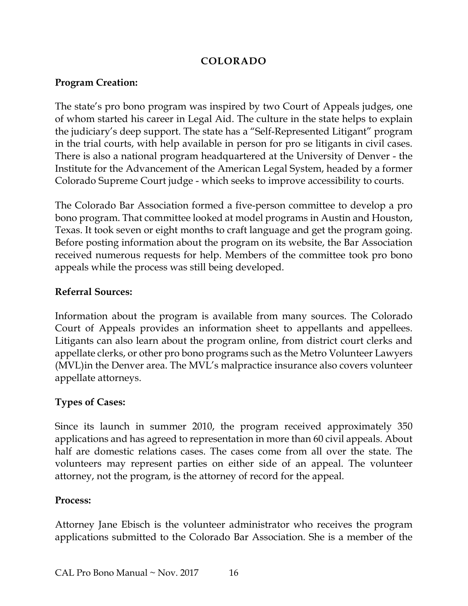#### **COLORADO**

#### <span id="page-18-0"></span>**Program Creation:**

The state's pro bono program was inspired by two Court of Appeals judges, one of whom started his career in Legal Aid. The culture in the state helps to explain the judiciary's deep support. The state has a "Self-Represented Litigant" program in the trial courts, with help available in person for pro se litigants in civil cases. There is also a national program headquartered at the University of Denver - the Institute for the Advancement of the American Legal System, headed by a former Colorado Supreme Court judge - which seeks to improve accessibility to courts.

The Colorado Bar Association formed a five-person committee to develop a pro bono program. That committee looked at model programs in Austin and Houston, Texas. It took seven or eight months to craft language and get the program going. Before posting information about the program on its website, the Bar Association received numerous requests for help. Members of the committee took pro bono appeals while the process was still being developed.

#### **Referral Sources:**

Information about the program is available from many sources. The Colorado Court of Appeals provides an information sheet to appellants and appellees. Litigants can also learn about the program online, from district court clerks and appellate clerks, or other pro bono programs such as the Metro Volunteer Lawyers (MVL)in the Denver area. The MVL's malpractice insurance also covers volunteer appellate attorneys.

#### **Types of Cases:**

Since its launch in summer 2010, the program received approximately 350 applications and has agreed to representation in more than 60 civil appeals. About half are domestic relations cases. The cases come from all over the state. The volunteers may represent parties on either side of an appeal. The volunteer attorney, not the program, is the attorney of record for the appeal.

#### **Process:**

Attorney Jane Ebisch is the volunteer administrator who receives the program applications submitted to the Colorado Bar Association. She is a member of the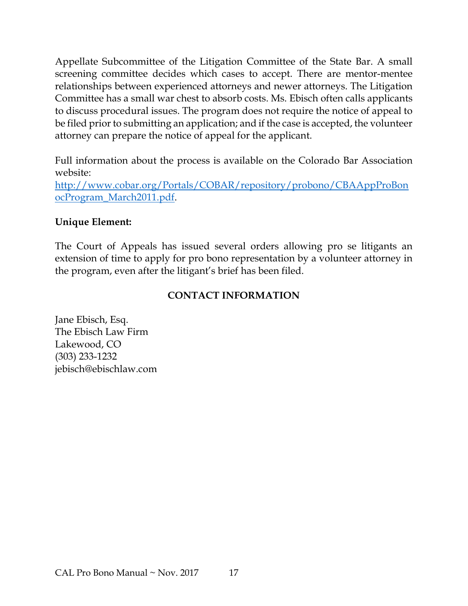Appellate Subcommittee of the Litigation Committee of the State Bar. A small screening committee decides which cases to accept. There are mentor-mentee relationships between experienced attorneys and newer attorneys. The Litigation Committee has a small war chest to absorb costs. Ms. Ebisch often calls applicants to discuss procedural issues. The program does not require the notice of appeal to be filed prior to submitting an application; and if the case is accepted, the volunteer attorney can prepare the notice of appeal for the applicant.

Full information about the process is available on the Colorado Bar Association website:

[http://www.cobar.org/Portals/COBAR/repository/probono/CBAAppProBon](http://www.cobar.org/Portals/COBAR/repository/probono/CBAAppProBonocProgram_March2011.pdf) [ocProgram\\_March2011.pdf.](http://www.cobar.org/Portals/COBAR/repository/probono/CBAAppProBonocProgram_March2011.pdf)

#### **Unique Element:**

The Court of Appeals has issued several orders allowing pro se litigants an extension of time to apply for pro bono representation by a volunteer attorney in the program, even after the litigant's brief has been filed.

#### **CONTACT INFORMATION**

Jane Ebisch, Esq. The Ebisch Law Firm Lakewood, CO (303) 233-1232 jebisch@ebischlaw.com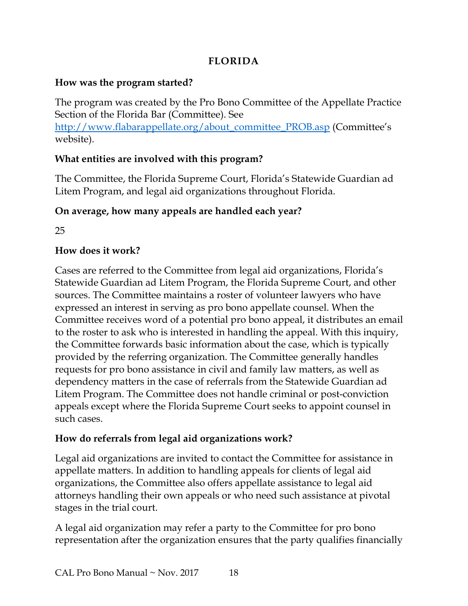### **FLORIDA**

#### <span id="page-20-0"></span>**How was the program started?**

The program was created by the Pro Bono Committee of the Appellate Practice Section of the Florida Bar (Committee). See [http://www.flabarappellate.org/about\\_committee\\_PROB.asp](http://www.flabarappellate.org/about_committee_PROB.asp) (Committee's website).

#### **What entities are involved with this program?**

The Committee, the Florida Supreme Court, Florida's Statewide Guardian ad Litem Program, and legal aid organizations throughout Florida.

#### **On average, how many appeals are handled each year?**

25

#### **How does it work?**

Cases are referred to the Committee from legal aid organizations, Florida's Statewide Guardian ad Litem Program, the Florida Supreme Court, and other sources. The Committee maintains a roster of volunteer lawyers who have expressed an interest in serving as pro bono appellate counsel. When the Committee receives word of a potential pro bono appeal, it distributes an email to the roster to ask who is interested in handling the appeal. With this inquiry, the Committee forwards basic information about the case, which is typically provided by the referring organization. The Committee generally handles requests for pro bono assistance in civil and family law matters, as well as dependency matters in the case of referrals from the Statewide Guardian ad Litem Program. The Committee does not handle criminal or post-conviction appeals except where the Florida Supreme Court seeks to appoint counsel in such cases.

#### **How do referrals from legal aid organizations work?**

Legal aid organizations are invited to contact the Committee for assistance in appellate matters. In addition to handling appeals for clients of legal aid organizations, the Committee also offers appellate assistance to legal aid attorneys handling their own appeals or who need such assistance at pivotal stages in the trial court.

A legal aid organization may refer a party to the Committee for pro bono representation after the organization ensures that the party qualifies financially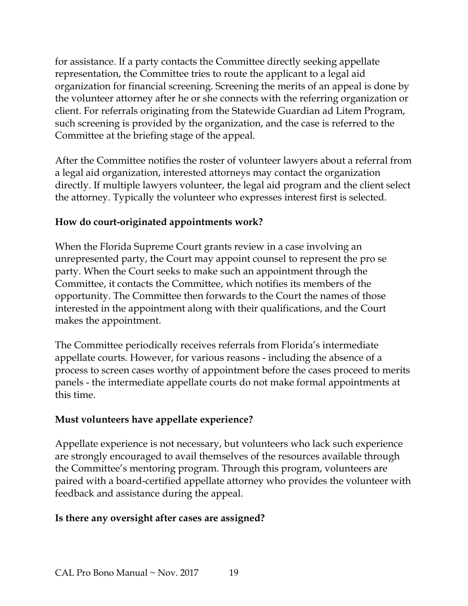for assistance. If a party contacts the Committee directly seeking appellate representation, the Committee tries to route the applicant to a legal aid organization for financial screening. Screening the merits of an appeal is done by the volunteer attorney after he or she connects with the referring organization or client. For referrals originating from the Statewide Guardian ad Litem Program, such screening is provided by the organization, and the case is referred to the Committee at the briefing stage of the appeal.

After the Committee notifies the roster of volunteer lawyers about a referral from a legal aid organization, interested attorneys may contact the organization directly. If multiple lawyers volunteer, the legal aid program and the client select the attorney. Typically the volunteer who expresses interest first is selected.

#### **How do court-originated appointments work?**

When the Florida Supreme Court grants review in a case involving an unrepresented party, the Court may appoint counsel to represent the pro se party. When the Court seeks to make such an appointment through the Committee, it contacts the Committee, which notifies its members of the opportunity. The Committee then forwards to the Court the names of those interested in the appointment along with their qualifications, and the Court makes the appointment.

The Committee periodically receives referrals from Florida's intermediate appellate courts. However, for various reasons - including the absence of a process to screen cases worthy of appointment before the cases proceed to merits panels - the intermediate appellate courts do not make formal appointments at this time.

#### **Must volunteers have appellate experience?**

Appellate experience is not necessary, but volunteers who lack such experience are strongly encouraged to avail themselves of the resources available through the Committee's mentoring program. Through this program, volunteers are paired with a board-certified appellate attorney who provides the volunteer with feedback and assistance during the appeal.

#### **Is there any oversight after cases are assigned?**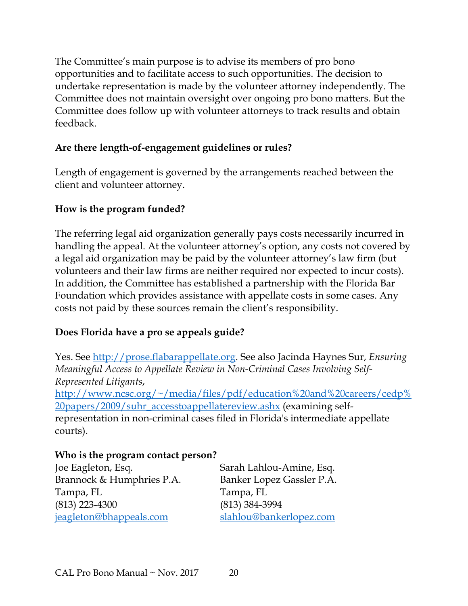The Committee's main purpose is to advise its members of pro bono opportunities and to facilitate access to such opportunities. The decision to undertake representation is made by the volunteer attorney independently. The Committee does not maintain oversight over ongoing pro bono matters. But the Committee does follow up with volunteer attorneys to track results and obtain feedback.

#### **Are there length-of-engagement guidelines or rules?**

Length of engagement is governed by the arrangements reached between the client and volunteer attorney.

#### **How is the program funded?**

The referring legal aid organization generally pays costs necessarily incurred in handling the appeal. At the volunteer attorney's option, any costs not covered by a legal aid organization may be paid by the volunteer attorney's law firm (but volunteers and their law firms are neither required nor expected to incur costs). In addition, the Committee has established a partnership with the Florida Bar Foundation which provides assistance with appellate costs in some cases. Any costs not paid by these sources remain the client's responsibility.

#### **Does Florida have a pro se appeals guide?**

Yes. See [http://prose.flabarappellate.org.](http://prose.flabarappellate.org/) See also Jacinda Haynes Sur, *Ensuring Meaningful Access to Appellate Review in Non-Criminal Cases Involving Self-Represented Litigants*,

[http://www.ncsc.org/~/media/files/pdf/education%20and%20careers/cedp%](http://www.ncsc.org/%7E/media/files/pdf/education%20and%20careers/cedp%20papers/2009/suhr_accesstoappellatereview.ashx) [20papers/2009/suhr\\_accesstoappellatereview.ashx](http://www.ncsc.org/%7E/media/files/pdf/education%20and%20careers/cedp%20papers/2009/suhr_accesstoappellatereview.ashx) (examining selfrepresentation in non-criminal cases filed in Florida's intermediate appellate courts).

#### **Who is the program contact person?**

Joe Eagleton, Esq. Sarah Lahlou-Amine, Esq. Brannock & Humphries P.A. Banker Lopez Gassler P.A. Tampa, FL Tampa, FL (813) 223-4300 (813) 384-3994 [jeagleton@bhappeals.com](mailto:jeagleton@bhappeals.com) [slahlou@bankerlopez.com](mailto:slahlou@bankerlopez.com)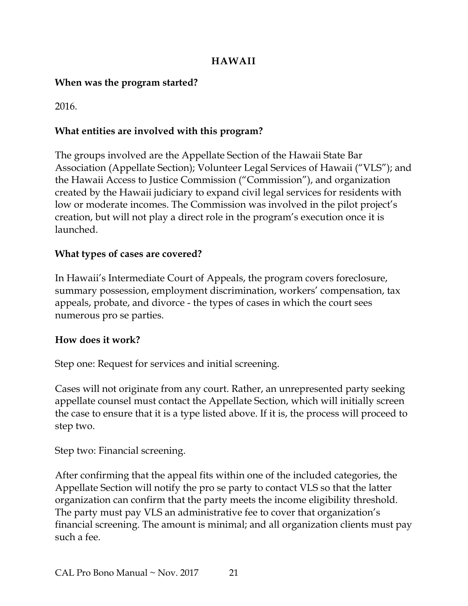#### **HAWAII**

#### <span id="page-23-0"></span>**When was the program started?**

2016.

#### **What entities are involved with this program?**

The groups involved are the Appellate Section of the Hawaii State Bar Association (Appellate Section); Volunteer Legal Services of Hawaii ("VLS"); and the Hawaii Access to Justice Commission ("Commission"), and organization created by the Hawaii judiciary to expand civil legal services for residents with low or moderate incomes. The Commission was involved in the pilot project's creation, but will not play a direct role in the program's execution once it is launched.

#### **What types of cases are covered?**

In Hawaii's Intermediate Court of Appeals, the program covers foreclosure, summary possession, employment discrimination, workers' compensation, tax appeals, probate, and divorce - the types of cases in which the court sees numerous pro se parties.

#### **How does it work?**

Step one: Request for services and initial screening.

Cases will not originate from any court. Rather, an unrepresented party seeking appellate counsel must contact the Appellate Section, which will initially screen the case to ensure that it is a type listed above. If it is, the process will proceed to step two.

Step two: Financial screening.

After confirming that the appeal fits within one of the included categories, the Appellate Section will notify the pro se party to contact VLS so that the latter organization can confirm that the party meets the income eligibility threshold. The party must pay VLS an administrative fee to cover that organization's financial screening. The amount is minimal; and all organization clients must pay such a fee.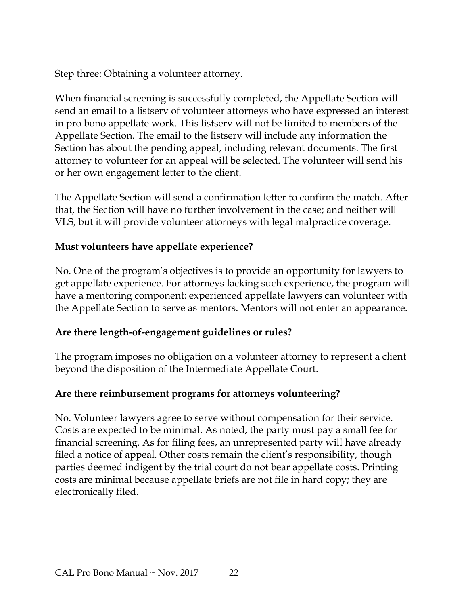Step three: Obtaining a volunteer attorney.

When financial screening is successfully completed, the Appellate Section will send an email to a listserv of volunteer attorneys who have expressed an interest in pro bono appellate work. This listserv will not be limited to members of the Appellate Section. The email to the listserv will include any information the Section has about the pending appeal, including relevant documents. The first attorney to volunteer for an appeal will be selected. The volunteer will send his or her own engagement letter to the client.

The Appellate Section will send a confirmation letter to confirm the match. After that, the Section will have no further involvement in the case; and neither will VLS, but it will provide volunteer attorneys with legal malpractice coverage.

#### **Must volunteers have appellate experience?**

No. One of the program's objectives is to provide an opportunity for lawyers to get appellate experience. For attorneys lacking such experience, the program will have a mentoring component: experienced appellate lawyers can volunteer with the Appellate Section to serve as mentors. Mentors will not enter an appearance.

#### **Are there length-of-engagement guidelines or rules?**

The program imposes no obligation on a volunteer attorney to represent a client beyond the disposition of the Intermediate Appellate Court.

#### **Are there reimbursement programs for attorneys volunteering?**

No. Volunteer lawyers agree to serve without compensation for their service. Costs are expected to be minimal. As noted, the party must pay a small fee for financial screening. As for filing fees, an unrepresented party will have already filed a notice of appeal. Other costs remain the client's responsibility, though parties deemed indigent by the trial court do not bear appellate costs. Printing costs are minimal because appellate briefs are not file in hard copy; they are electronically filed.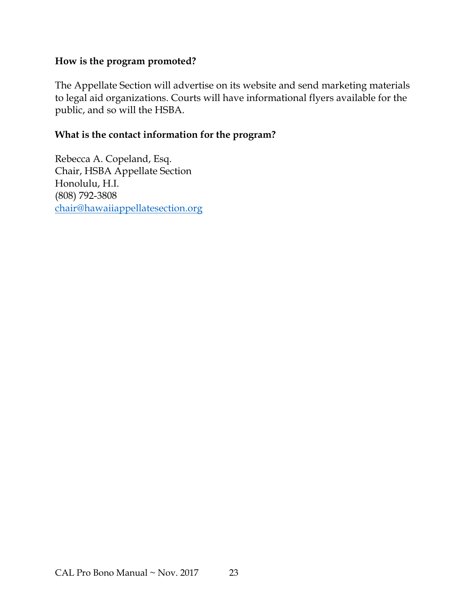#### **How is the program promoted?**

The Appellate Section will advertise on its website and send marketing materials to legal aid organizations. Courts will have informational flyers available for the public, and so will the HSBA.

#### **What is the contact information for the program?**

Rebecca A. Copeland, Esq. Chair, HSBA Appellate Section Honolulu, H.I. (808) 792-3808 [chair@hawaiiappellatesection.org](mailto:chair@hawaiiappellatesection.org)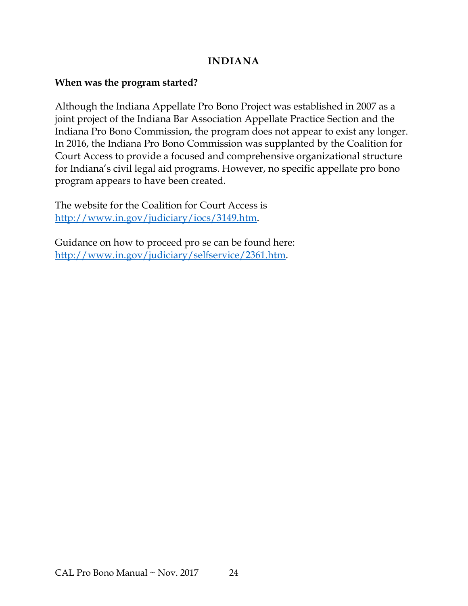#### **INDIANA**

#### <span id="page-26-0"></span>**When was the program started?**

Although the Indiana Appellate Pro Bono Project was established in 2007 as a joint project of the Indiana Bar Association Appellate Practice Section and the Indiana Pro Bono Commission, the program does not appear to exist any longer. In 2016, the Indiana Pro Bono Commission was supplanted by the Coalition for Court Access to provide a focused and comprehensive organizational structure for Indiana's civil legal aid programs. However, no specific appellate pro bono program appears to have been created.

The website for the Coalition for Court Access is [http://www.in.gov/judiciary/iocs/3149.htm.](http://www.in.gov/judiciary/iocs/3149.htm)

Guidance on how to proceed pro se can be found here: [http://www.in.gov/judiciary/selfservice/2361.htm.](http://www.in.gov/judiciary/selfservice/2361.htm)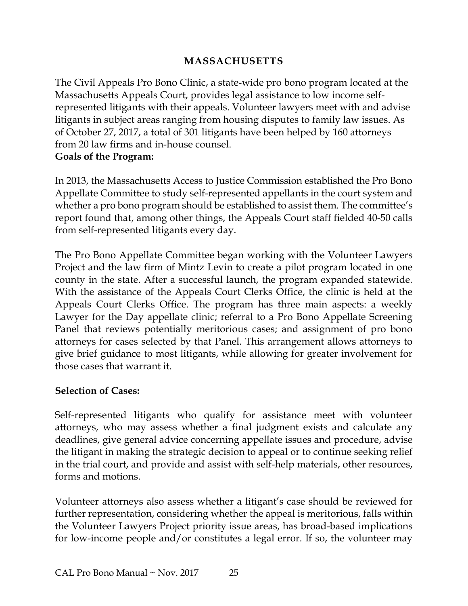#### **MASSACHUSETTS**

<span id="page-27-0"></span>The Civil Appeals Pro Bono Clinic, a state-wide pro bono program located at the Massachusetts Appeals Court, provides legal assistance to low income selfrepresented litigants with their appeals. Volunteer lawyers meet with and advise litigants in subject areas ranging from housing disputes to family law issues. As of October 27, 2017, a total of 301 litigants have been helped by 160 attorneys from 20 law firms and in-house counsel.

#### **Goals of the Program:**

In 2013, the Massachusetts Access to Justice Commission established the Pro Bono Appellate Committee to study self-represented appellants in the court system and whether a pro bono program should be established to assist them. The committee's report found that, among other things, the Appeals Court staff fielded 40-50 calls from self-represented litigants every day.

The Pro Bono Appellate Committee began working with the Volunteer Lawyers Project and the law firm of Mintz Levin to create a pilot program located in one county in the state. After a successful launch, the program expanded statewide. With the assistance of the Appeals Court Clerks Office, the clinic is held at the Appeals Court Clerks Office. The program has three main aspects: a weekly Lawyer for the Day appellate clinic; referral to a Pro Bono Appellate Screening Panel that reviews potentially meritorious cases; and assignment of pro bono attorneys for cases selected by that Panel. This arrangement allows attorneys to give brief guidance to most litigants, while allowing for greater involvement for those cases that warrant it.

#### **Selection of Cases:**

Self-represented litigants who qualify for assistance meet with volunteer attorneys, who may assess whether a final judgment exists and calculate any deadlines, give general advice concerning appellate issues and procedure, advise the litigant in making the strategic decision to appeal or to continue seeking relief in the trial court, and provide and assist with self-help materials, other resources, forms and motions.

Volunteer attorneys also assess whether a litigant's case should be reviewed for further representation, considering whether the appeal is meritorious, falls within the Volunteer Lawyers Project priority issue areas, has broad-based implications for low-income people and/or constitutes a legal error. If so, the volunteer may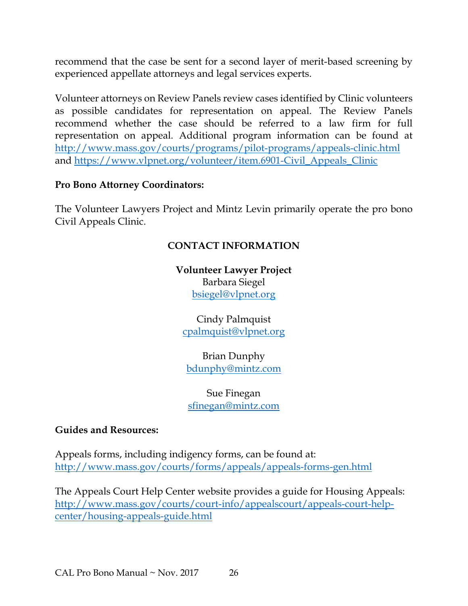recommend that the case be sent for a second layer of merit-based screening by experienced appellate attorneys and legal services experts.

Volunteer attorneys on Review Panels review cases identified by Clinic volunteers as possible candidates for representation on appeal. The Review Panels recommend whether the case should be referred to a law firm for full representation on appeal. Additional program information can be found at <http://www.mass.gov/courts/programs/pilot-programs/appeals-clinic.html> and [https://www.vlpnet.org/volunteer/item.6901-Civil\\_Appeals\\_Clinic](https://www.vlpnet.org/volunteer/item.6901-Civil_Appeals_Clinic)

#### **Pro Bono Attorney Coordinators:**

The Volunteer Lawyers Project and Mintz Levin primarily operate the pro bono Civil Appeals Clinic.

#### **CONTACT INFORMATION**

**Volunteer Lawyer Project** Barbara Siegel [bsiegel@vlpnet.org](mailto:bsiegel@vlpnet.org)

Cindy Palmquist [cpalmquist@vlpnet.org](mailto:cpalmquist@vlpnet.org)

Brian Dunphy [bdunphy@mintz.com](mailto:bdunphy@mintz.com)

Sue Finegan [sfinegan@mintz.com](mailto:sfinegan@mintz.com)

#### **Guides and Resources:**

Appeals forms, including indigency forms, can be found at: <http://www.mass.gov/courts/forms/appeals/appeals-forms-gen.html>

The Appeals Court Help Center website provides a guide for Housing Appeals: [http://www.mass.gov/courts/court-info/appealscourt/appeals-court-help](http://www.mass.gov/courts/court-info/appealscourt/appeals-court-help-center/housing-appeals-guide.html)[center/housing-appeals-guide.html](http://www.mass.gov/courts/court-info/appealscourt/appeals-court-help-center/housing-appeals-guide.html)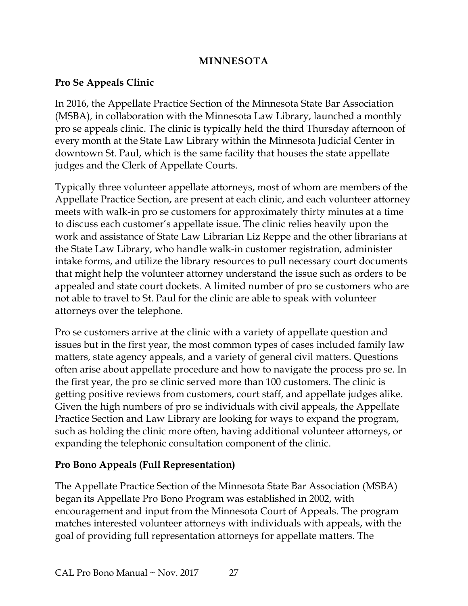#### **MINNESOTA**

#### <span id="page-29-0"></span>**Pro Se Appeals Clinic**

In 2016, the Appellate Practice Section of the Minnesota State Bar Association (MSBA), in collaboration with the Minnesota Law Library, launched a monthly pro se appeals clinic. The clinic is typically held the third Thursday afternoon of every month at the State Law Library within the Minnesota Judicial Center in downtown St. Paul, which is the same facility that houses the state appellate judges and the Clerk of Appellate Courts.

Typically three volunteer appellate attorneys, most of whom are members of the Appellate Practice Section, are present at each clinic, and each volunteer attorney meets with walk-in pro se customers for approximately thirty minutes at a time to discuss each customer's appellate issue. The clinic relies heavily upon the work and assistance of State Law Librarian Liz Reppe and the other librarians at the State Law Library, who handle walk-in customer registration, administer intake forms, and utilize the library resources to pull necessary court documents that might help the volunteer attorney understand the issue such as orders to be appealed and state court dockets. A limited number of pro se customers who are not able to travel to St. Paul for the clinic are able to speak with volunteer attorneys over the telephone.

Pro se customers arrive at the clinic with a variety of appellate question and issues but in the first year, the most common types of cases included family law matters, state agency appeals, and a variety of general civil matters. Questions often arise about appellate procedure and how to navigate the process pro se. In the first year, the pro se clinic served more than 100 customers. The clinic is getting positive reviews from customers, court staff, and appellate judges alike. Given the high numbers of pro se individuals with civil appeals, the Appellate Practice Section and Law Library are looking for ways to expand the program, such as holding the clinic more often, having additional volunteer attorneys, or expanding the telephonic consultation component of the clinic.

#### **Pro Bono Appeals (Full Representation)**

The Appellate Practice Section of the Minnesota State Bar Association (MSBA) began its Appellate Pro Bono Program was established in 2002, with encouragement and input from the Minnesota Court of Appeals. The program matches interested volunteer attorneys with individuals with appeals, with the goal of providing full representation attorneys for appellate matters. The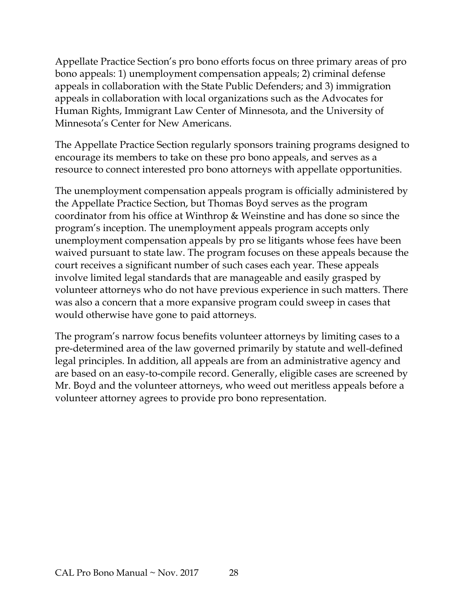Appellate Practice Section's pro bono efforts focus on three primary areas of pro bono appeals: 1) unemployment compensation appeals; 2) criminal defense appeals in collaboration with the State Public Defenders; and 3) immigration appeals in collaboration with local organizations such as the Advocates for Human Rights, Immigrant Law Center of Minnesota, and the University of Minnesota's Center for New Americans.

The Appellate Practice Section regularly sponsors training programs designed to encourage its members to take on these pro bono appeals, and serves as a resource to connect interested pro bono attorneys with appellate opportunities.

The unemployment compensation appeals program is officially administered by the Appellate Practice Section, but Thomas Boyd serves as the program coordinator from his office at Winthrop & Weinstine and has done so since the program's inception. The unemployment appeals program accepts only unemployment compensation appeals by pro se litigants whose fees have been waived pursuant to state law. The program focuses on these appeals because the court receives a significant number of such cases each year. These appeals involve limited legal standards that are manageable and easily grasped by volunteer attorneys who do not have previous experience in such matters. There was also a concern that a more expansive program could sweep in cases that would otherwise have gone to paid attorneys.

The program's narrow focus benefits volunteer attorneys by limiting cases to a pre-determined area of the law governed primarily by statute and well-defined legal principles. In addition, all appeals are from an administrative agency and are based on an easy-to-compile record. Generally, eligible cases are screened by Mr. Boyd and the volunteer attorneys, who weed out meritless appeals before a volunteer attorney agrees to provide pro bono representation.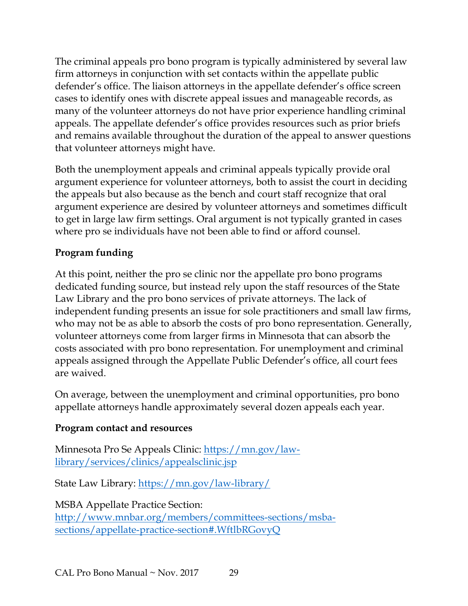The criminal appeals pro bono program is typically administered by several law firm attorneys in conjunction with set contacts within the appellate public defender's office. The liaison attorneys in the appellate defender's office screen cases to identify ones with discrete appeal issues and manageable records, as many of the volunteer attorneys do not have prior experience handling criminal appeals. The appellate defender's office provides resources such as prior briefs and remains available throughout the duration of the appeal to answer questions that volunteer attorneys might have.

Both the unemployment appeals and criminal appeals typically provide oral argument experience for volunteer attorneys, both to assist the court in deciding the appeals but also because as the bench and court staff recognize that oral argument experience are desired by volunteer attorneys and sometimes difficult to get in large law firm settings. Oral argument is not typically granted in cases where pro se individuals have not been able to find or afford counsel.

## **Program funding**

At this point, neither the pro se clinic nor the appellate pro bono programs dedicated funding source, but instead rely upon the staff resources of the State Law Library and the pro bono services of private attorneys. The lack of independent funding presents an issue for sole practitioners and small law firms, who may not be as able to absorb the costs of pro bono representation. Generally, volunteer attorneys come from larger firms in Minnesota that can absorb the costs associated with pro bono representation. For unemployment and criminal appeals assigned through the Appellate Public Defender's office, all court fees are waived.

On average, between the unemployment and criminal opportunities, pro bono appellate attorneys handle approximately several dozen appeals each year.

#### **Program contact and resources**

Minnesota Pro Se Appeals Clinic: [https://mn.gov/law](https://mn.gov/law-library/services/clinics/appealsclinic.jsp)[library/services/clinics/appealsclinic.jsp](https://mn.gov/law-library/services/clinics/appealsclinic.jsp)

State Law Library:<https://mn.gov/law-library/>

MSBA Appellate Practice Section: [http://www.mnbar.org/members/committees-sections/msba](http://www.mnbar.org/members/committees-sections/msba-sections/appellate-practice-section#.WftlbRGovyQ)[sections/appellate-practice-section#.WftlbRGovyQ](http://www.mnbar.org/members/committees-sections/msba-sections/appellate-practice-section#.WftlbRGovyQ)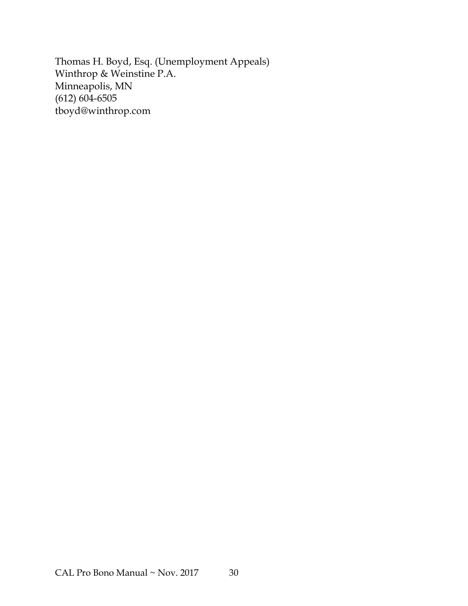Thomas H. Boyd, Esq. (Unemployment Appeals) Winthrop & Weinstine P.A. Minneapolis, MN  $(612)$  604-6505 tboyd@winthrop.com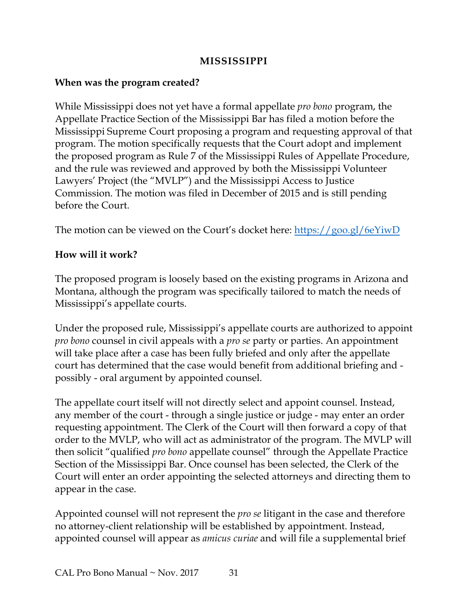#### **MISSISSIPPI**

#### <span id="page-33-0"></span>**When was the program created?**

While Mississippi does not yet have a formal appellate *pro bono* program, the Appellate Practice Section of the Mississippi Bar has filed a motion before the Mississippi Supreme Court proposing a program and requesting approval of that program. The motion specifically requests that the Court adopt and implement the proposed program as Rule 7 of the Mississippi Rules of Appellate Procedure, and the rule was reviewed and approved by both the Mississippi Volunteer Lawyers' Project (the "MVLP") and the Mississippi Access to Justice Commission. The motion was filed in December of 2015 and is still pending before the Court.

The motion can be viewed on the Court's docket here: <u>https://goo.gl/6eYiwD</u>

#### **How will it work?**

The proposed program is loosely based on the existing programs in Arizona and Montana, although the program was specifically tailored to match the needs of Mississippi's appellate courts.

Under the proposed rule, Mississippi's appellate courts are authorized to appoint *pro bono* counsel in civil appeals with a *pro se* party or parties. An appointment will take place after a case has been fully briefed and only after the appellate court has determined that the case would benefit from additional briefing and possibly - oral argument by appointed counsel.

The appellate court itself will not directly select and appoint counsel. Instead, any member of the court - through a single justice or judge - may enter an order requesting appointment. The Clerk of the Court will then forward a copy of that order to the MVLP, who will act as administrator of the program. The MVLP will then solicit "qualified *pro bono* appellate counsel" through the Appellate Practice Section of the Mississippi Bar. Once counsel has been selected, the Clerk of the Court will enter an order appointing the selected attorneys and directing them to appear in the case.

Appointed counsel will not represent the *pro se* litigant in the case and therefore no attorney-client relationship will be established by appointment. Instead, appointed counsel will appear as *amicus curiae* and will file a supplemental brief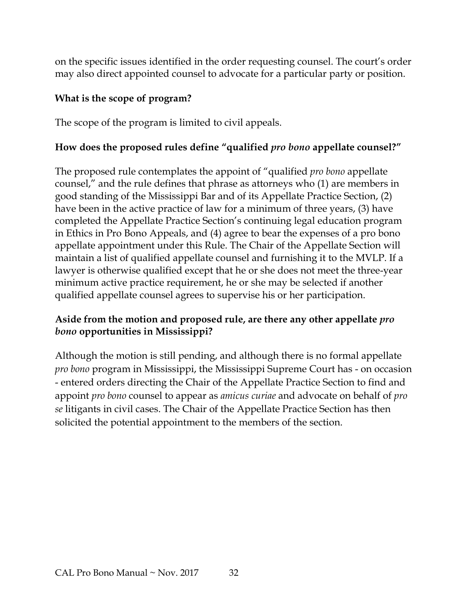on the specific issues identified in the order requesting counsel. The court's order may also direct appointed counsel to advocate for a particular party or position.

#### **What is the scope of program?**

The scope of the program is limited to civil appeals.

#### **How does the proposed rules define "qualified** *pro bono* **appellate counsel?"**

The proposed rule contemplates the appoint of "qualified *pro bono* appellate counsel," and the rule defines that phrase as attorneys who (1) are members in good standing of the Mississippi Bar and of its Appellate Practice Section, (2) have been in the active practice of law for a minimum of three years, (3) have completed the Appellate Practice Section's continuing legal education program in Ethics in Pro Bono Appeals, and (4) agree to bear the expenses of a pro bono appellate appointment under this Rule. The Chair of the Appellate Section will maintain a list of qualified appellate counsel and furnishing it to the MVLP. If a lawyer is otherwise qualified except that he or she does not meet the three-year minimum active practice requirement, he or she may be selected if another qualified appellate counsel agrees to supervise his or her participation.

#### **Aside from the motion and proposed rule, are there any other appellate** *pro bono* **opportunities in Mississippi?**

Although the motion is still pending, and although there is no formal appellate *pro bono* program in Mississippi, the Mississippi Supreme Court has - on occasion - entered orders directing the Chair of the Appellate Practice Section to find and appoint *pro bono* counsel to appear as *amicus curiae* and advocate on behalf of *pro se* litigants in civil cases. The Chair of the Appellate Practice Section has then solicited the potential appointment to the members of the section.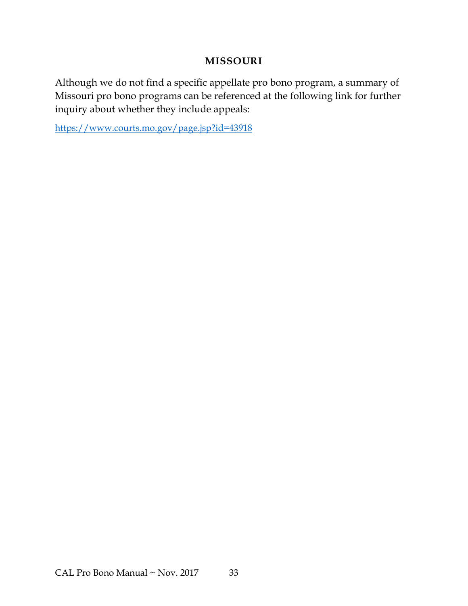#### **MISSOURI**

<span id="page-35-0"></span>Although we do not find a specific appellate pro bono program, a summary of Missouri pro bono programs can be referenced at the following link for further inquiry about whether they include appeals:

<https://www.courts.mo.gov/page.jsp?id=43918>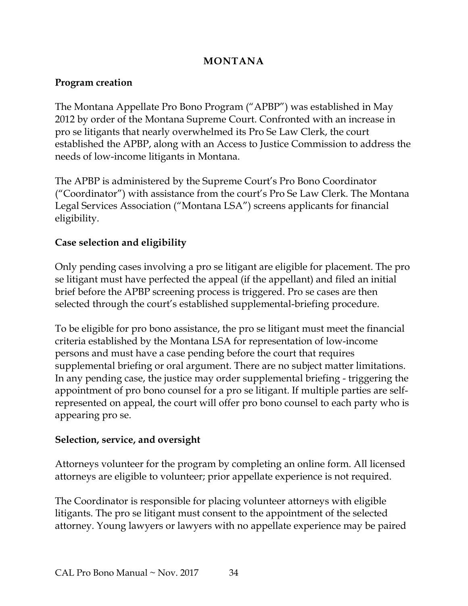#### **MONTANA**

#### <span id="page-36-0"></span>**Program creation**

The Montana Appellate Pro Bono Program ("APBP") was established in May 2012 by order of the Montana Supreme Court. Confronted with an increase in pro se litigants that nearly overwhelmed its Pro Se Law Clerk, the court established the APBP, along with an Access to Justice Commission to address the needs of low-income litigants in Montana.

The APBP is administered by the Supreme Court's Pro Bono Coordinator ("Coordinator") with assistance from the court's Pro Se Law Clerk. The Montana Legal Services Association ("Montana LSA") screens applicants for financial eligibility.

#### **Case selection and eligibility**

Only pending cases involving a pro se litigant are eligible for placement. The pro se litigant must have perfected the appeal (if the appellant) and filed an initial brief before the APBP screening process is triggered. Pro se cases are then selected through the court's established supplemental-briefing procedure.

To be eligible for pro bono assistance, the pro se litigant must meet the financial criteria established by the Montana LSA for representation of low-income persons and must have a case pending before the court that requires supplemental briefing or oral argument. There are no subject matter limitations. In any pending case, the justice may order supplemental briefing - triggering the appointment of pro bono counsel for a pro se litigant. If multiple parties are selfrepresented on appeal, the court will offer pro bono counsel to each party who is appearing pro se.

#### **Selection, service, and oversight**

Attorneys volunteer for the program by completing an online form. All licensed attorneys are eligible to volunteer; prior appellate experience is not required.

The Coordinator is responsible for placing volunteer attorneys with eligible litigants. The pro se litigant must consent to the appointment of the selected attorney. Young lawyers or lawyers with no appellate experience may be paired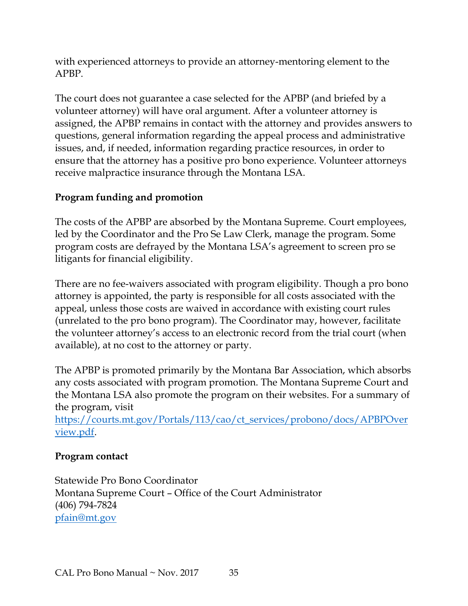with experienced attorneys to provide an attorney-mentoring element to the APBP.

The court does not guarantee a case selected for the APBP (and briefed by a volunteer attorney) will have oral argument. After a volunteer attorney is assigned, the APBP remains in contact with the attorney and provides answers to questions, general information regarding the appeal process and administrative issues, and, if needed, information regarding practice resources, in order to ensure that the attorney has a positive pro bono experience. Volunteer attorneys receive malpractice insurance through the Montana LSA.

#### **Program funding and promotion**

The costs of the APBP are absorbed by the Montana Supreme. Court employees, led by the Coordinator and the Pro Se Law Clerk, manage the program. Some program costs are defrayed by the Montana LSA's agreement to screen pro se litigants for financial eligibility.

There are no fee-waivers associated with program eligibility. Though a pro bono attorney is appointed, the party is responsible for all costs associated with the appeal, unless those costs are waived in accordance with existing court rules (unrelated to the pro bono program). The Coordinator may, however, facilitate the volunteer attorney's access to an electronic record from the trial court (when available), at no cost to the attorney or party.

The APBP is promoted primarily by the Montana Bar Association, which absorbs any costs associated with program promotion. The Montana Supreme Court and the Montana LSA also promote the program on their websites. For a summary of the program, visit

[https://courts.mt.gov/Portals/113/cao/ct\\_services/probono/docs/APBPOver](https://courts.mt.gov/Portals/113/cao/ct_services/probono/docs/APBPOverview.pdf) [view.pdf.](https://courts.mt.gov/Portals/113/cao/ct_services/probono/docs/APBPOverview.pdf)

#### **Program contact**

Statewide Pro Bono Coordinator Montana Supreme Court – Office of the Court Administrator (406) 794-7824 [pfain@mt.gov](mailto:pfain@mt.gov)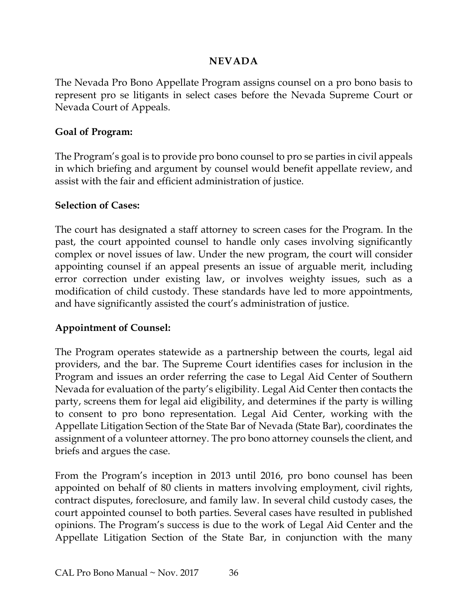#### **NEVADA**

<span id="page-38-0"></span>The Nevada Pro Bono Appellate Program assigns counsel on a pro bono basis to represent pro se litigants in select cases before the Nevada Supreme Court or Nevada Court of Appeals.

#### **Goal of Program:**

The Program's goal is to provide pro bono counsel to pro se parties in civil appeals in which briefing and argument by counsel would benefit appellate review, and assist with the fair and efficient administration of justice.

#### **Selection of Cases:**

The court has designated a staff attorney to screen cases for the Program. In the past, the court appointed counsel to handle only cases involving significantly complex or novel issues of law. Under the new program, the court will consider appointing counsel if an appeal presents an issue of arguable merit, including error correction under existing law, or involves weighty issues, such as a modification of child custody. These standards have led to more appointments, and have significantly assisted the court's administration of justice.

#### **Appointment of Counsel:**

The Program operates statewide as a partnership between the courts, legal aid providers, and the bar. The Supreme Court identifies cases for inclusion in the Program and issues an order referring the case to Legal Aid Center of Southern Nevada for evaluation of the party's eligibility. Legal Aid Center then contacts the party, screens them for legal aid eligibility, and determines if the party is willing to consent to pro bono representation. Legal Aid Center, working with the Appellate Litigation Section of the State Bar of Nevada (State Bar), coordinates the assignment of a volunteer attorney. The pro bono attorney counsels the client, and briefs and argues the case.

From the Program's inception in 2013 until 2016, pro bono counsel has been appointed on behalf of 80 clients in matters involving employment, civil rights, contract disputes, foreclosure, and family law. In several child custody cases, the court appointed counsel to both parties. Several cases have resulted in published opinions. The Program's success is due to the work of Legal Aid Center and the Appellate Litigation Section of the State Bar, in conjunction with the many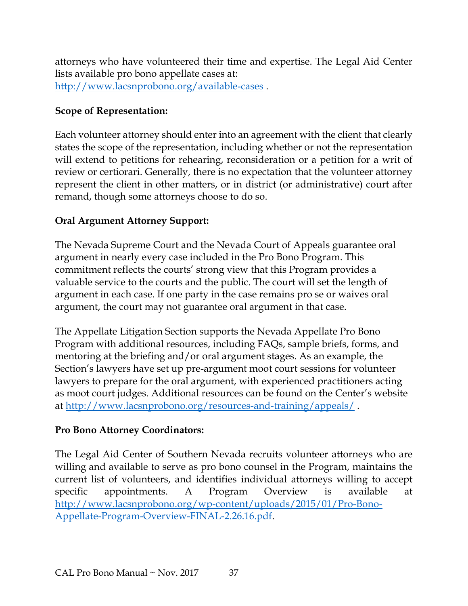attorneys who have volunteered their time and expertise. The Legal Aid Center lists available pro bono appellate cases at: [http://www.lacsnprobono.org/available](http://www.lacsnprobono.org/available%E2%80%90cases)-cases.

#### **Scope of Representation:**

Each volunteer attorney should enter into an agreement with the client that clearly states the scope of the representation, including whether or not the representation will extend to petitions for rehearing, reconsideration or a petition for a writ of review or certiorari. Generally, there is no expectation that the volunteer attorney represent the client in other matters, or in district (or administrative) court after remand, though some attorneys choose to do so.

#### **Oral Argument Attorney Support:**

The Nevada Supreme Court and the Nevada Court of Appeals guarantee oral argument in nearly every case included in the Pro Bono Program. This commitment reflects the courts' strong view that this Program provides a valuable service to the courts and the public. The court will set the length of argument in each case. If one party in the case remains pro se or waives oral argument, the court may not guarantee oral argument in that case.

The Appellate Litigation Section supports the Nevada Appellate Pro Bono Program with additional resources, including FAQs, sample briefs, forms, and mentoring at the briefing and/or oral argument stages. As an example, the Section's lawyers have set up pre-argument moot court sessions for volunteer lawyers to prepare for the oral argument, with experienced practitioners acting as moot court judges. Additional resources can be found on the Center's website at<http://www.lacsnprobono.org/resources-and-training/appeals/> .

#### **Pro Bono Attorney Coordinators:**

The Legal Aid Center of Southern Nevada recruits volunteer attorneys who are willing and available to serve as pro bono counsel in the Program, maintains the current list of volunteers, and identifies individual attorneys willing to accept specific appointments. A Program Overview is available at [http://www.lacsnprobono.org/wp-content/uploads/2015/01/Pro-Bono-](http://www.lacsnprobono.org/wp-content/uploads/2015/01/Pro-Bono-Appellate-Program-Overview-FINAL-2.26.16.pdf)[Appellate-Program-Overview-FINAL-2.26.16.pdf.](http://www.lacsnprobono.org/wp-content/uploads/2015/01/Pro-Bono-Appellate-Program-Overview-FINAL-2.26.16.pdf)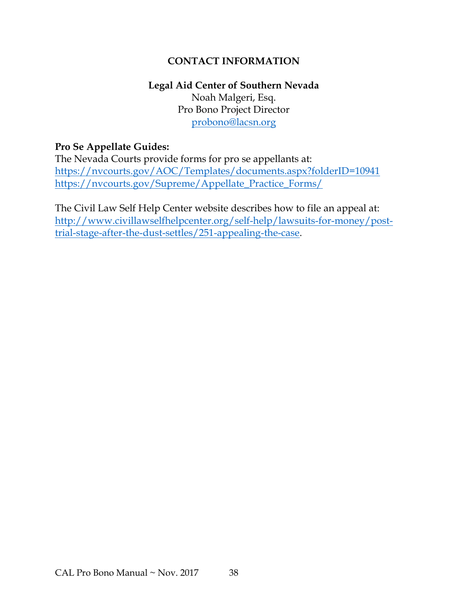#### **CONTACT INFORMATION**

#### **Legal Aid Center of Southern Nevada** Noah Malgeri, Esq. Pro Bono Project Director [probono@lacsn.org](mailto:probono@lacsn.org)

#### **Pro Se Appellate Guides:**

The Nevada Courts provide forms for pro se appellants at: <https://nvcourts.gov/AOC/Templates/documents.aspx?folderID=10941> [https://nvcourts.gov/Supreme/Appellate\\_Practice\\_Forms/](https://nvcourts.gov/Supreme/Appellate_Practice_Forms/)

The Civil Law Self Help Center website describes how to file an appeal at: [http://www.civillawselfhelpcenter.org/self-help/lawsuits-for-money/post](http://www.civillawselfhelpcenter.org/self-help/lawsuits-for-money/post-trial-stage-after-the-dust-settles/251-appealing-the-case)[trial-stage-after-the-dust-settles/251-appealing-the-case.](http://www.civillawselfhelpcenter.org/self-help/lawsuits-for-money/post-trial-stage-after-the-dust-settles/251-appealing-the-case)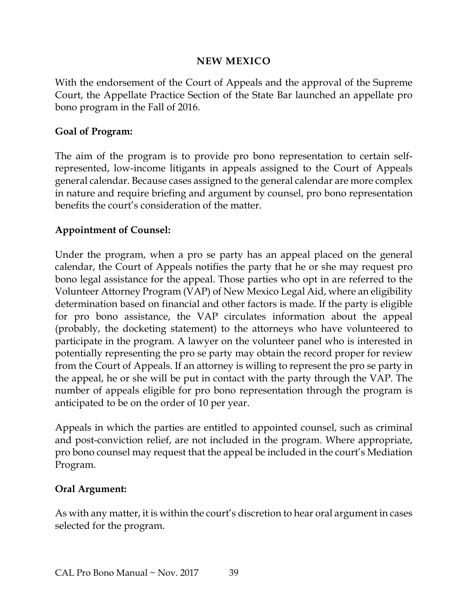#### **NEW MEXICO**

<span id="page-41-0"></span>With the endorsement of the Court of Appeals and the approval of the Supreme Court, the Appellate Practice Section of the State Bar launched an appellate pro bono program in the Fall of 2016.

#### **Goal of Program:**

The aim of the program is to provide pro bono representation to certain selfrepresented, low-income litigants in appeals assigned to the Court of Appeals general calendar. Because cases assigned to the general calendar are more complex in nature and require briefing and argument by counsel, pro bono representation benefits the court's consideration of the matter.

#### **Appointment of Counsel:**

Under the program, when a pro se party has an appeal placed on the general calendar, the Court of Appeals notifies the party that he or she may request pro bono legal assistance for the appeal. Those parties who opt in are referred to the Volunteer Attorney Program (VAP) of New Mexico Legal Aid, where an eligibility determination based on financial and other factors is made. If the party is eligible for pro bono assistance, the VAP circulates information about the appeal (probably, the docketing statement) to the attorneys who have volunteered to participate in the program. A lawyer on the volunteer panel who is interested in potentially representing the pro se party may obtain the record proper for review from the Court of Appeals. If an attorney is willing to represent the pro se party in the appeal, he or she will be put in contact with the party through the VAP. The number of appeals eligible for pro bono representation through the program is anticipated to be on the order of 10 per year.

Appeals in which the parties are entitled to appointed counsel, such as criminal and post-conviction relief, are not included in the program. Where appropriate, pro bono counsel may request that the appeal be included in the court's Mediation Program.

#### **Oral Argument:**

As with any matter, it is within the court's discretion to hear oral argument in cases selected for the program.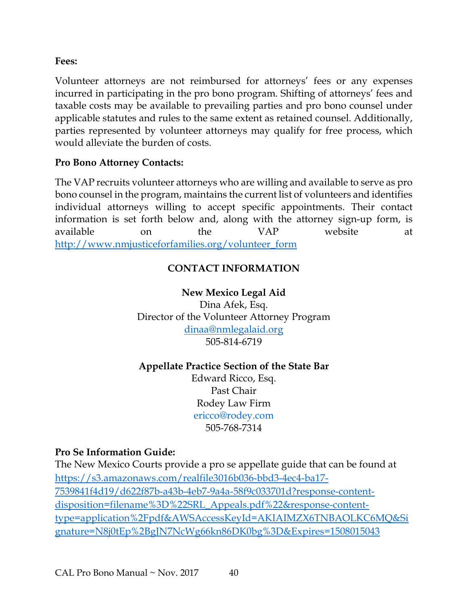**Fees:**

Volunteer attorneys are not reimbursed for attorneys' fees or any expenses incurred in participating in the pro bono program. Shifting of attorneys' fees and taxable costs may be available to prevailing parties and pro bono counsel under applicable statutes and rules to the same extent as retained counsel. Additionally, parties represented by volunteer attorneys may qualify for free process, which would alleviate the burden of costs.

#### **Pro Bono Attorney Contacts:**

The VAP recruits volunteer attorneys who are willing and available to serve as pro bono counsel in the program, maintains the current list of volunteers and identifies individual attorneys willing to accept specific appointments. Their contact information is set forth below and, along with the attorney sign-up form, is available on the VAP website at [http://www.nmjusticeforfamilies.org/volunteer\\_form](http://www.nmjusticeforfamilies.org/volunteer_form)

#### **CONTACT INFORMATION**

## **New Mexico Legal Aid**

Dina Afek, Esq. Director of the Volunteer Attorney Program [dinaa@nmlegalaid.org](mailto:dinaa@nmlegalaid.org) 505-814-6719

#### **Appellate Practice Section of the State Bar**

Edward Ricco, Esq. Past Chair Rodey Law Firm [ericco@rodey.com](mailto:ericco@rodey.com) 505-768-7314

#### **Pro Se Information Guide:**

The New Mexico Courts provide a pro se appellate guide that can be found at [https://s3.amazonaws.com/realfile3016b036-bbd3-4ec4-ba17-](https://s3.amazonaws.com/realfile3016b036-bbd3-4ec4-ba17-7539841f4d19/d622f87b-a43b-4eb7-9a4a-58f9c033701d?response-content-disposition=filename%3D%22SRL_Appeals.pdf%22&response-content-type=application%2Fpdf&AWSAccessKeyId=AKIAIMZX6TNBAOLKC6MQ&Signature=N8j0tEp%2BgJN7NcWg66kn86DK0bg%3D&Expires=1508015043) [7539841f4d19/d622f87b-a43b-4eb7-9a4a-58f9c033701d?response-content](https://s3.amazonaws.com/realfile3016b036-bbd3-4ec4-ba17-7539841f4d19/d622f87b-a43b-4eb7-9a4a-58f9c033701d?response-content-disposition=filename%3D%22SRL_Appeals.pdf%22&response-content-type=application%2Fpdf&AWSAccessKeyId=AKIAIMZX6TNBAOLKC6MQ&Signature=N8j0tEp%2BgJN7NcWg66kn86DK0bg%3D&Expires=1508015043)[disposition=filename%3D%22SRL\\_Appeals.pdf%22&response-content](https://s3.amazonaws.com/realfile3016b036-bbd3-4ec4-ba17-7539841f4d19/d622f87b-a43b-4eb7-9a4a-58f9c033701d?response-content-disposition=filename%3D%22SRL_Appeals.pdf%22&response-content-type=application%2Fpdf&AWSAccessKeyId=AKIAIMZX6TNBAOLKC6MQ&Signature=N8j0tEp%2BgJN7NcWg66kn86DK0bg%3D&Expires=1508015043)[type=application%2Fpdf&AWSAccessKeyId=AKIAIMZX6TNBAOLKC6MQ&Si](https://s3.amazonaws.com/realfile3016b036-bbd3-4ec4-ba17-7539841f4d19/d622f87b-a43b-4eb7-9a4a-58f9c033701d?response-content-disposition=filename%3D%22SRL_Appeals.pdf%22&response-content-type=application%2Fpdf&AWSAccessKeyId=AKIAIMZX6TNBAOLKC6MQ&Signature=N8j0tEp%2BgJN7NcWg66kn86DK0bg%3D&Expires=1508015043) [gnature=N8j0tEp%2BgJN7NcWg66kn86DK0bg%3D&Expires=1508015043](https://s3.amazonaws.com/realfile3016b036-bbd3-4ec4-ba17-7539841f4d19/d622f87b-a43b-4eb7-9a4a-58f9c033701d?response-content-disposition=filename%3D%22SRL_Appeals.pdf%22&response-content-type=application%2Fpdf&AWSAccessKeyId=AKIAIMZX6TNBAOLKC6MQ&Signature=N8j0tEp%2BgJN7NcWg66kn86DK0bg%3D&Expires=1508015043)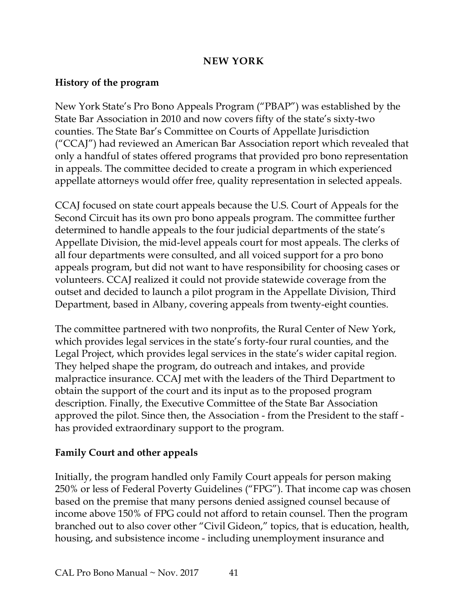#### **NEW YORK**

#### <span id="page-43-0"></span>**History of the program**

New York State's Pro Bono Appeals Program ("PBAP") was established by the State Bar Association in 2010 and now covers fifty of the state's sixty-two counties. The State Bar's Committee on Courts of Appellate Jurisdiction ("CCAJ") had reviewed an American Bar Association report which revealed that only a handful of states offered programs that provided pro bono representation in appeals. The committee decided to create a program in which experienced appellate attorneys would offer free, quality representation in selected appeals.

CCAJ focused on state court appeals because the U.S. Court of Appeals for the Second Circuit has its own pro bono appeals program. The committee further determined to handle appeals to the four judicial departments of the state's Appellate Division, the mid-level appeals court for most appeals. The clerks of all four departments were consulted, and all voiced support for a pro bono appeals program, but did not want to have responsibility for choosing cases or volunteers. CCAJ realized it could not provide statewide coverage from the outset and decided to launch a pilot program in the Appellate Division, Third Department, based in Albany, covering appeals from twenty-eight counties.

The committee partnered with two nonprofits, the Rural Center of New York, which provides legal services in the state's forty-four rural counties, and the Legal Project, which provides legal services in the state's wider capital region. They helped shape the program, do outreach and intakes, and provide malpractice insurance. CCAJ met with the leaders of the Third Department to obtain the support of the court and its input as to the proposed program description. Finally, the Executive Committee of the State Bar Association approved the pilot. Since then, the Association - from the President to the staff has provided extraordinary support to the program.

#### **Family Court and other appeals**

Initially, the program handled only Family Court appeals for person making 250% or less of Federal Poverty Guidelines ("FPG"). That income cap was chosen based on the premise that many persons denied assigned counsel because of income above 150% of FPG could not afford to retain counsel. Then the program branched out to also cover other "Civil Gideon," topics, that is education, health, housing, and subsistence income - including unemployment insurance and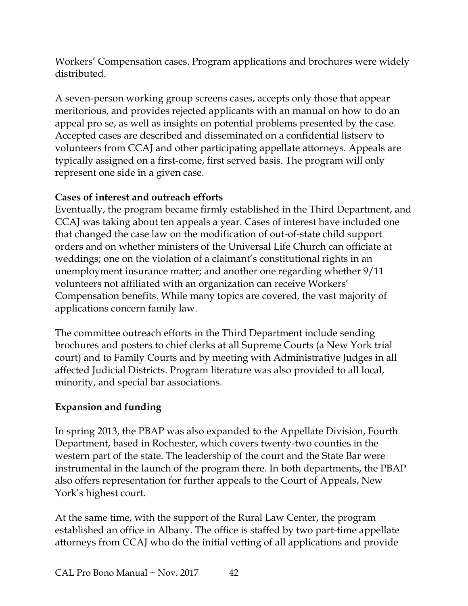Workers' Compensation cases. Program applications and brochures were widely distributed.

A seven-person working group screens cases, accepts only those that appear meritorious, and provides rejected applicants with an manual on how to do an appeal pro se, as well as insights on potential problems presented by the case. Accepted cases are described and disseminated on a confidential listserv to volunteers from CCAJ and other participating appellate attorneys. Appeals are typically assigned on a first-come, first served basis. The program will only represent one side in a given case.

#### **Cases of interest and outreach efforts**

Eventually, the program became firmly established in the Third Department, and CCAJ was taking about ten appeals a year. Cases of interest have included one that changed the case law on the modification of out-of-state child support orders and on whether ministers of the Universal Life Church can officiate at weddings; one on the violation of a claimant's constitutional rights in an unemployment insurance matter; and another one regarding whether 9/11 volunteers not affiliated with an organization can receive Workers' Compensation benefits. While many topics are covered, the vast majority of applications concern family law.

The committee outreach efforts in the Third Department include sending brochures and posters to chief clerks at all Supreme Courts (a New York trial court) and to Family Courts and by meeting with Administrative Judges in all affected Judicial Districts. Program literature was also provided to all local, minority, and special bar associations.

#### **Expansion and funding**

In spring 2013, the PBAP was also expanded to the Appellate Division, Fourth Department, based in Rochester, which covers twenty-two counties in the western part of the state. The leadership of the court and the State Bar were instrumental in the launch of the program there. In both departments, the PBAP also offers representation for further appeals to the Court of Appeals, New York's highest court.

At the same time, with the support of the Rural Law Center, the program established an office in Albany. The office is staffed by two part-time appellate attorneys from CCAJ who do the initial vetting of all applications and provide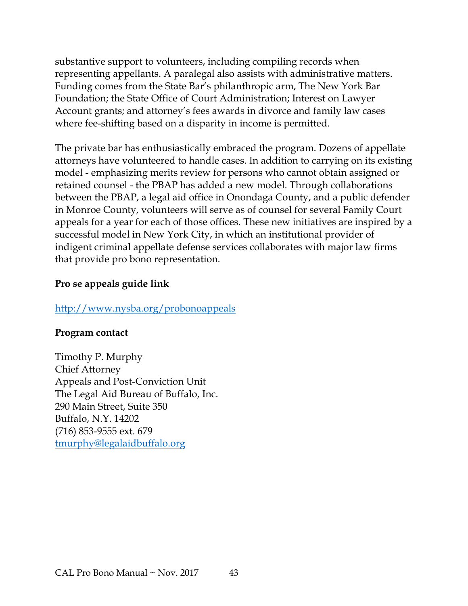substantive support to volunteers, including compiling records when representing appellants. A paralegal also assists with administrative matters. Funding comes from the State Bar's philanthropic arm, The New York Bar Foundation; the State Office of Court Administration; Interest on Lawyer Account grants; and attorney's fees awards in divorce and family law cases where fee-shifting based on a disparity in income is permitted.

The private bar has enthusiastically embraced the program. Dozens of appellate attorneys have volunteered to handle cases. In addition to carrying on its existing model - emphasizing merits review for persons who cannot obtain assigned or retained counsel - the PBAP has added a new model. Through collaborations between the PBAP, a legal aid office in Onondaga County, and a public defender in Monroe County, volunteers will serve as of counsel for several Family Court appeals for a year for each of those offices. These new initiatives are inspired by a successful model in New York City, in which an institutional provider of indigent criminal appellate defense services collaborates with major law firms that provide pro bono representation.

#### **Pro se appeals guide link**

#### <http://www.nysba.org/probonoappeals>

#### **Program contact**

Timothy P. Murphy Chief Attorney Appeals and Post-Conviction Unit The Legal Aid Bureau of Buffalo, Inc. 290 Main Street, Suite 350 Buffalo, N.Y. 14202 (716) 853-9555 ext. 679 [tmurphy@legalaidbuffalo.org](mailto:tmurphy@legalaidbuffalo.org)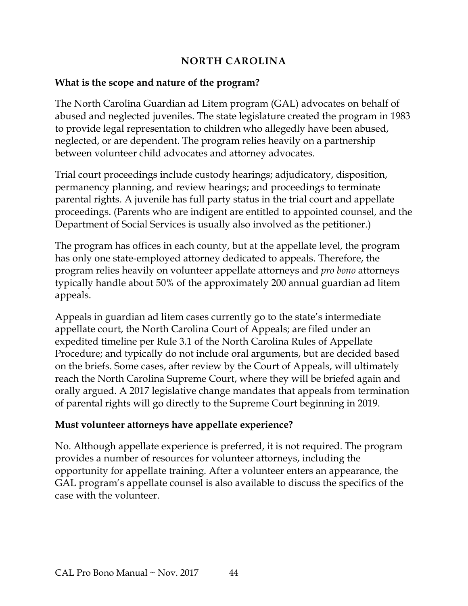#### **NORTH CAROLINA**

#### <span id="page-46-0"></span>**What is the scope and nature of the program?**

The North Carolina Guardian ad Litem program (GAL) advocates on behalf of abused and neglected juveniles. The state legislature created the program in 1983 to provide legal representation to children who allegedly have been abused, neglected, or are dependent. The program relies heavily on a partnership between volunteer child advocates and attorney advocates.

Trial court proceedings include custody hearings; adjudicatory, disposition, permanency planning, and review hearings; and proceedings to terminate parental rights. A juvenile has full party status in the trial court and appellate proceedings. (Parents who are indigent are entitled to appointed counsel, and the Department of Social Services is usually also involved as the petitioner.)

The program has offices in each county, but at the appellate level, the program has only one state-employed attorney dedicated to appeals. Therefore, the program relies heavily on volunteer appellate attorneys and *pro bono* attorneys typically handle about 50% of the approximately 200 annual guardian ad litem appeals.

Appeals in guardian ad litem cases currently go to the state's intermediate appellate court, the North Carolina Court of Appeals; are filed under an expedited timeline per Rule 3.1 of the North Carolina Rules of Appellate Procedure; and typically do not include oral arguments, but are decided based on the briefs. Some cases, after review by the Court of Appeals, will ultimately reach the North Carolina Supreme Court, where they will be briefed again and orally argued. A 2017 legislative change mandates that appeals from termination of parental rights will go directly to the Supreme Court beginning in 2019.

#### **Must volunteer attorneys have appellate experience?**

No. Although appellate experience is preferred, it is not required. The program provides a number of resources for volunteer attorneys, including the opportunity for appellate training. After a volunteer enters an appearance, the GAL program's appellate counsel is also available to discuss the specifics of the case with the volunteer.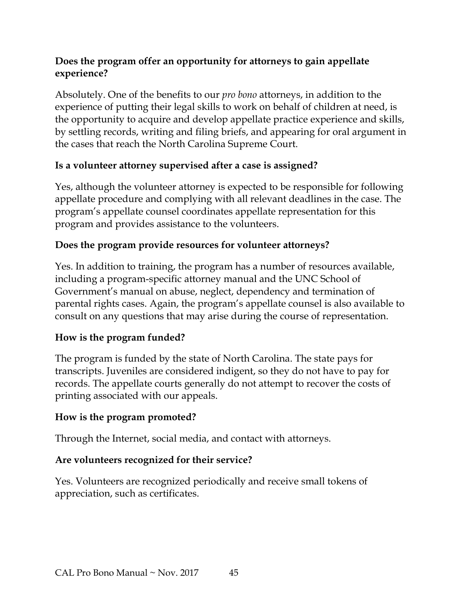#### **Does the program offer an opportunity for attorneys to gain appellate experience?**

Absolutely. One of the benefits to our *pro bono* attorneys, in addition to the experience of putting their legal skills to work on behalf of children at need, is the opportunity to acquire and develop appellate practice experience and skills, by settling records, writing and filing briefs, and appearing for oral argument in the cases that reach the North Carolina Supreme Court.

#### **Is a volunteer attorney supervised after a case is assigned?**

Yes, although the volunteer attorney is expected to be responsible for following appellate procedure and complying with all relevant deadlines in the case. The program's appellate counsel coordinates appellate representation for this program and provides assistance to the volunteers.

#### **Does the program provide resources for volunteer attorneys?**

Yes. In addition to training, the program has a number of resources available, including a program-specific attorney manual and the UNC School of Government's manual on abuse, neglect, dependency and termination of parental rights cases. Again, the program's appellate counsel is also available to consult on any questions that may arise during the course of representation.

#### **How is the program funded?**

The program is funded by the state of North Carolina. The state pays for transcripts. Juveniles are considered indigent, so they do not have to pay for records. The appellate courts generally do not attempt to recover the costs of printing associated with our appeals.

#### **How is the program promoted?**

Through the Internet, social media, and contact with attorneys.

#### **Are volunteers recognized for their service?**

Yes. Volunteers are recognized periodically and receive small tokens of appreciation, such as certificates.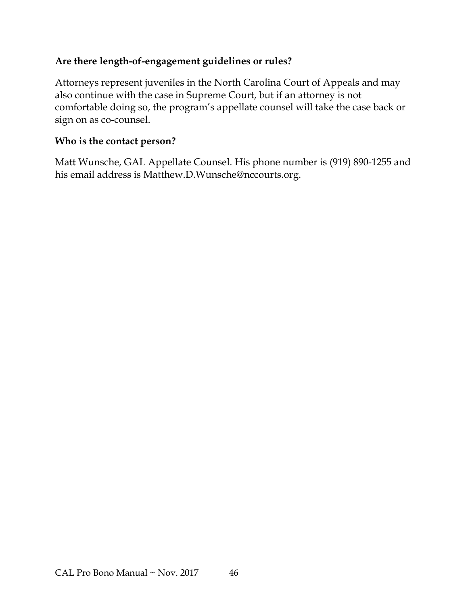#### **Are there length-of-engagement guidelines or rules?**

Attorneys represent juveniles in the North Carolina Court of Appeals and may also continue with the case in Supreme Court, but if an attorney is not comfortable doing so, the program's appellate counsel will take the case back or sign on as co-counsel.

#### **Who is the contact person?**

Matt Wunsche, GAL Appellate Counsel. His phone number is (919) 890-1255 and his email address is Matthew.D.Wunsche@nccourts.org.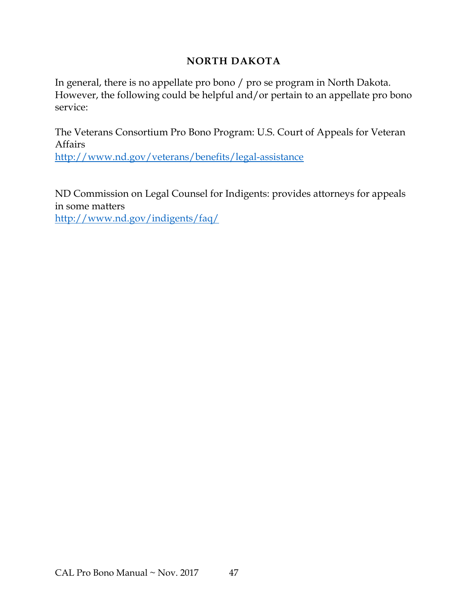#### **NORTH DAKOTA**

<span id="page-49-0"></span>In general, there is no appellate pro bono / pro se program in North Dakota. However, the following could be helpful and/or pertain to an appellate pro bono service:

The Veterans Consortium Pro Bono Program: U.S. Court of Appeals for Veteran Affairs <http://www.nd.gov/veterans/benefits/legal-assistance>

ND Commission on Legal Counsel for Indigents: provides attorneys for appeals in some matters

<http://www.nd.gov/indigents/faq/>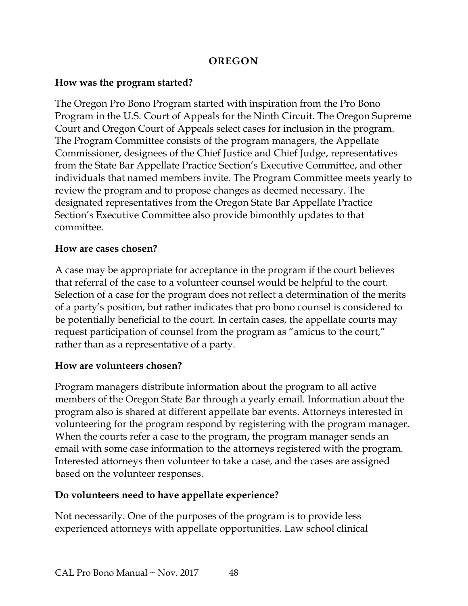#### **OREGON**

#### <span id="page-50-0"></span>**How was the program started?**

The Oregon Pro Bono Program started with inspiration from the Pro Bono Program in the U.S. Court of Appeals for the Ninth Circuit. The Oregon Supreme Court and Oregon Court of Appeals select cases for inclusion in the program. The Program Committee consists of the program managers, the Appellate Commissioner, designees of the Chief Justice and Chief Judge, representatives from the State Bar Appellate Practice Section's Executive Committee, and other individuals that named members invite. The Program Committee meets yearly to review the program and to propose changes as deemed necessary. The designated representatives from the Oregon State Bar Appellate Practice Section's Executive Committee also provide bimonthly updates to that committee.

#### **How are cases chosen?**

A case may be appropriate for acceptance in the program if the court believes that referral of the case to a volunteer counsel would be helpful to the court. Selection of a case for the program does not reflect a determination of the merits of a party's position, but rather indicates that pro bono counsel is considered to be potentially beneficial to the court. In certain cases, the appellate courts may request participation of counsel from the program as "amicus to the court," rather than as a representative of a party.

#### **How are volunteers chosen?**

Program managers distribute information about the program to all active members of the Oregon State Bar through a yearly email. Information about the program also is shared at different appellate bar events. Attorneys interested in volunteering for the program respond by registering with the program manager. When the courts refer a case to the program, the program manager sends an email with some case information to the attorneys registered with the program. Interested attorneys then volunteer to take a case, and the cases are assigned based on the volunteer responses.

#### **Do volunteers need to have appellate experience?**

Not necessarily. One of the purposes of the program is to provide less experienced attorneys with appellate opportunities. Law school clinical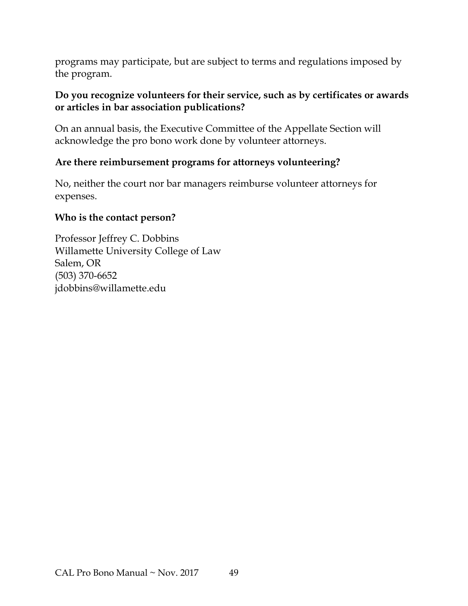programs may participate, but are subject to terms and regulations imposed by the program.

#### **Do you recognize volunteers for their service, such as by certificates or awards or articles in bar association publications?**

On an annual basis, the Executive Committee of the Appellate Section will acknowledge the pro bono work done by volunteer attorneys.

#### **Are there reimbursement programs for attorneys volunteering?**

No, neither the court nor bar managers reimburse volunteer attorneys for expenses.

#### **Who is the contact person?**

Professor Jeffrey C. Dobbins Willamette University College of Law Salem, OR (503) 370-6652 jdobbins@willamette.edu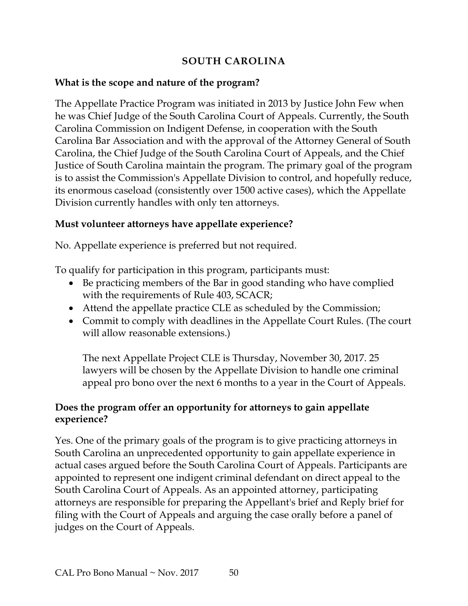#### **SOUTH CAROLINA**

#### <span id="page-52-0"></span>**What is the scope and nature of the program?**

The Appellate Practice Program was initiated in 2013 by Justice John Few when he was Chief Judge of the South Carolina Court of Appeals. Currently, the South Carolina Commission on Indigent Defense, in cooperation with the South Carolina Bar Association and with the approval of the Attorney General of South Carolina, the Chief Judge of the South Carolina Court of Appeals, and the Chief Justice of South Carolina maintain the program. The primary goal of the program is to assist the Commission's Appellate Division to control, and hopefully reduce, its enormous caseload (consistently over 1500 active cases), which the Appellate Division currently handles with only ten attorneys.

#### **Must volunteer attorneys have appellate experience?**

No. Appellate experience is preferred but not required.

To qualify for participation in this program, participants must:

- Be practicing members of the Bar in good standing who have complied with the requirements of Rule 403, SCACR;
- Attend the appellate practice CLE as scheduled by the Commission;
- Commit to comply with deadlines in the Appellate Court Rules. (The court will allow reasonable extensions.)

The next Appellate Project CLE is Thursday, November 30, 2017. 25 lawyers will be chosen by the Appellate Division to handle one criminal appeal pro bono over the next 6 months to a year in the Court of Appeals.

#### **Does the program offer an opportunity for attorneys to gain appellate experience?**

Yes. One of the primary goals of the program is to give practicing attorneys in South Carolina an unprecedented opportunity to gain appellate experience in actual cases argued before the South Carolina Court of Appeals. Participants are appointed to represent one indigent criminal defendant on direct appeal to the South Carolina Court of Appeals. As an appointed attorney, participating attorneys are responsible for preparing the Appellant's brief and Reply brief for filing with the Court of Appeals and arguing the case orally before a panel of judges on the Court of Appeals.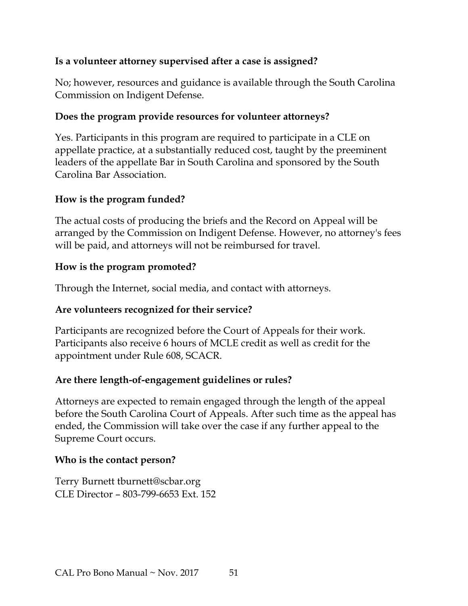#### **Is a volunteer attorney supervised after a case is assigned?**

No; however, resources and guidance is available through the South Carolina Commission on Indigent Defense.

#### **Does the program provide resources for volunteer attorneys?**

Yes. Participants in this program are required to participate in a CLE on appellate practice, at a substantially reduced cost, taught by the preeminent leaders of the appellate Bar in South Carolina and sponsored by the South Carolina Bar Association.

#### **How is the program funded?**

The actual costs of producing the briefs and the Record on Appeal will be arranged by the Commission on Indigent Defense. However, no attorney's fees will be paid, and attorneys will not be reimbursed for travel.

#### **How is the program promoted?**

Through the Internet, social media, and contact with attorneys.

#### **Are volunteers recognized for their service?**

Participants are recognized before the Court of Appeals for their work. Participants also receive 6 hours of MCLE credit as well as credit for the appointment under Rule 608, SCACR.

#### **Are there length-of-engagement guidelines or rules?**

Attorneys are expected to remain engaged through the length of the appeal before the South Carolina Court of Appeals. After such time as the appeal has ended, the Commission will take over the case if any further appeal to the Supreme Court occurs.

#### **Who is the contact person?**

Terry Burnett tburnett@scbar.org CLE Director – 803-799-6653 Ext. 152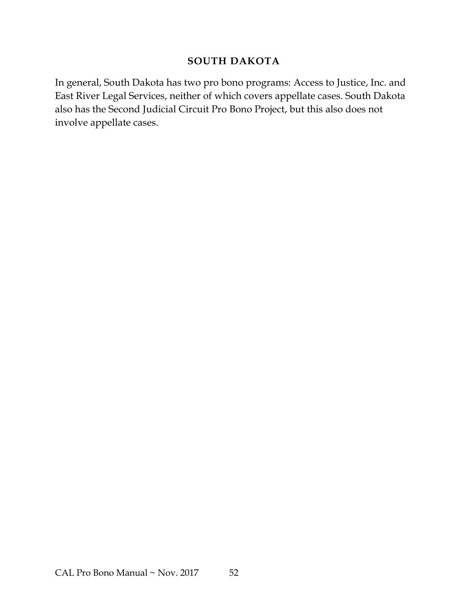#### **SOUTH DAKOTA**

<span id="page-54-0"></span>In general, South Dakota has two pro bono programs: Access to Justice, Inc. and East River Legal Services, neither of which covers appellate cases. South Dakota also has the Second Judicial Circuit Pro Bono Project, but this also does not involve appellate cases.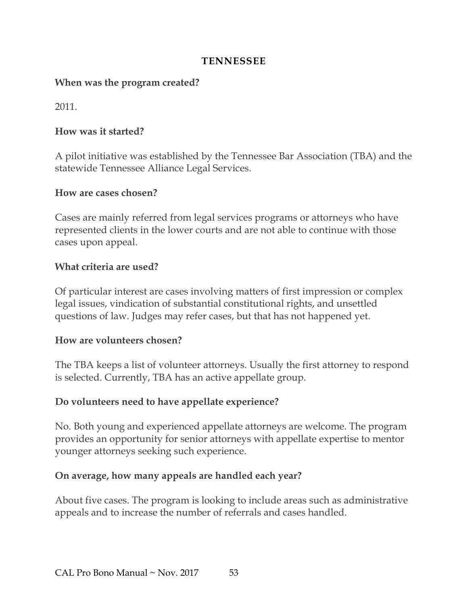#### **TENNESSEE**

#### <span id="page-55-0"></span>**When was the program created?**

2011.

#### **How was it started?**

A pilot initiative was established by the Tennessee Bar Association (TBA) and the statewide Tennessee Alliance Legal Services.

#### **How are cases chosen?**

Cases are mainly referred from legal services programs or attorneys who have represented clients in the lower courts and are not able to continue with those cases upon appeal.

#### **What criteria are used?**

Of particular interest are cases involving matters of first impression or complex legal issues, vindication of substantial constitutional rights, and unsettled questions of law. Judges may refer cases, but that has not happened yet.

#### **How are volunteers chosen?**

The TBA keeps a list of volunteer attorneys. Usually the first attorney to respond is selected. Currently, TBA has an active appellate group.

#### **Do volunteers need to have appellate experience?**

No. Both young and experienced appellate attorneys are welcome. The program provides an opportunity for senior attorneys with appellate expertise to mentor younger attorneys seeking such experience.

#### **On average, how many appeals are handled each year?**

About five cases. The program is looking to include areas such as administrative appeals and to increase the number of referrals and cases handled.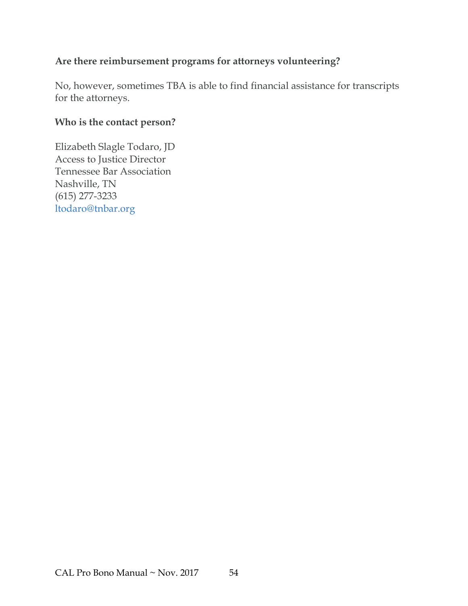#### **Are there reimbursement programs for attorneys volunteering?**

No, however, sometimes TBA is able to find financial assistance for transcripts for the attorneys.

## **Who is the contact person?**

Elizabeth Slagle Todaro, JD Access to Justice Director Tennessee Bar Association Nashville, TN (615) 277-3233 ltodaro@tnbar.org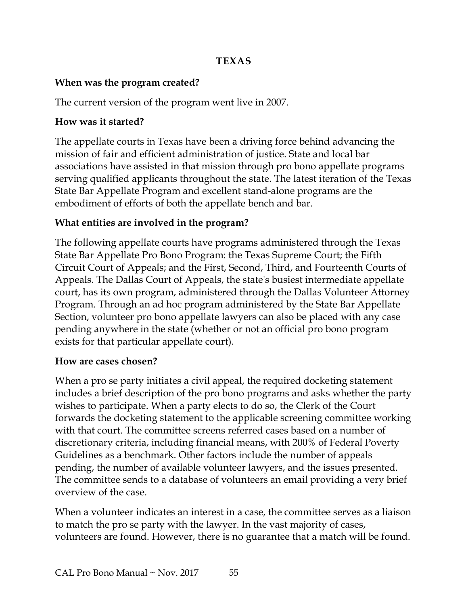#### **TEXAS**

#### <span id="page-57-0"></span>**When was the program created?**

The current version of the program went live in 2007.

#### **How was it started?**

The appellate courts in Texas have been a driving force behind advancing the mission of fair and efficient administration of justice. State and local bar associations have assisted in that mission through pro bono appellate programs serving qualified applicants throughout the state. The latest iteration of the Texas State Bar Appellate Program and excellent stand-alone programs are the embodiment of efforts of both the appellate bench and bar.

#### **What entities are involved in the program?**

The following appellate courts have programs administered through the Texas State Bar Appellate Pro Bono Program: the Texas Supreme Court; the Fifth Circuit Court of Appeals; and the First, Second, Third, and Fourteenth Courts of Appeals. The Dallas Court of Appeals, the state's busiest intermediate appellate court, has its own program, administered through the Dallas Volunteer Attorney Program. Through an ad hoc program administered by the State Bar Appellate Section, volunteer pro bono appellate lawyers can also be placed with any case pending anywhere in the state (whether or not an official pro bono program exists for that particular appellate court).

#### **How are cases chosen?**

When a pro se party initiates a civil appeal, the required docketing statement includes a brief description of the pro bono programs and asks whether the party wishes to participate. When a party elects to do so, the Clerk of the Court forwards the docketing statement to the applicable screening committee working with that court. The committee screens referred cases based on a number of discretionary criteria, including financial means, with 200% of Federal Poverty Guidelines as a benchmark. Other factors include the number of appeals pending, the number of available volunteer lawyers, and the issues presented. The committee sends to a database of volunteers an email providing a very brief overview of the case.

When a volunteer indicates an interest in a case, the committee serves as a liaison to match the pro se party with the lawyer. In the vast majority of cases, volunteers are found. However, there is no guarantee that a match will be found.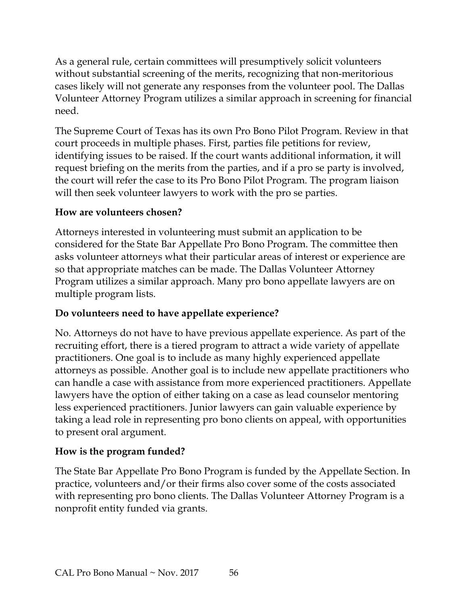As a general rule, certain committees will presumptively solicit volunteers without substantial screening of the merits, recognizing that non-meritorious cases likely will not generate any responses from the volunteer pool. The Dallas Volunteer Attorney Program utilizes a similar approach in screening for financial need.

The Supreme Court of Texas has its own Pro Bono Pilot Program. Review in that court proceeds in multiple phases. First, parties file petitions for review, identifying issues to be raised. If the court wants additional information, it will request briefing on the merits from the parties, and if a pro se party is involved, the court will refer the case to its Pro Bono Pilot Program. The program liaison will then seek volunteer lawyers to work with the pro se parties.

#### **How are volunteers chosen?**

Attorneys interested in volunteering must submit an application to be considered for the State Bar Appellate Pro Bono Program. The committee then asks volunteer attorneys what their particular areas of interest or experience are so that appropriate matches can be made. The Dallas Volunteer Attorney Program utilizes a similar approach. Many pro bono appellate lawyers are on multiple program lists.

## **Do volunteers need to have appellate experience?**

No. Attorneys do not have to have previous appellate experience. As part of the recruiting effort, there is a tiered program to attract a wide variety of appellate practitioners. One goal is to include as many highly experienced appellate attorneys as possible. Another goal is to include new appellate practitioners who can handle a case with assistance from more experienced practitioners. Appellate lawyers have the option of either taking on a case as lead counselor mentoring less experienced practitioners. Junior lawyers can gain valuable experience by taking a lead role in representing pro bono clients on appeal, with opportunities to present oral argument.

## **How is the program funded?**

The State Bar Appellate Pro Bono Program is funded by the Appellate Section. In practice, volunteers and/or their firms also cover some of the costs associated with representing pro bono clients. The Dallas Volunteer Attorney Program is a nonprofit entity funded via grants.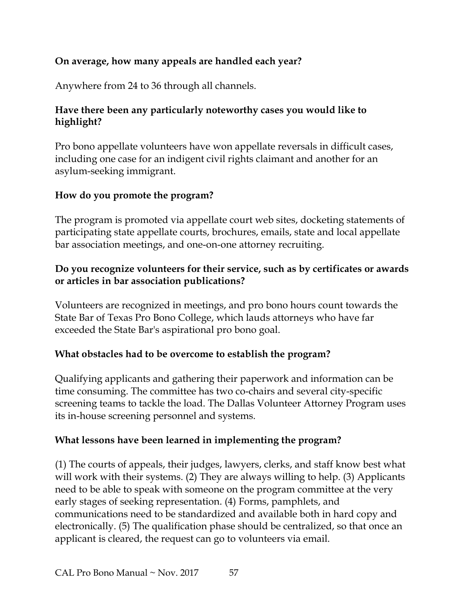#### **On average, how many appeals are handled each year?**

Anywhere from 24 to 36 through all channels.

#### **Have there been any particularly noteworthy cases you would like to highlight?**

Pro bono appellate volunteers have won appellate reversals in difficult cases, including one case for an indigent civil rights claimant and another for an asylum-seeking immigrant.

#### **How do you promote the program?**

The program is promoted via appellate court web sites, docketing statements of participating state appellate courts, brochures, emails, state and local appellate bar association meetings, and one-on-one attorney recruiting.

#### **Do you recognize volunteers for their service, such as by certificates or awards or articles in bar association publications?**

Volunteers are recognized in meetings, and pro bono hours count towards the State Bar of Texas Pro Bono College, which lauds attorneys who have far exceeded the State Bar's aspirational pro bono goal.

#### **What obstacles had to be overcome to establish the program?**

Qualifying applicants and gathering their paperwork and information can be time consuming. The committee has two co-chairs and several city-specific screening teams to tackle the load. The Dallas Volunteer Attorney Program uses its in-house screening personnel and systems.

#### **What lessons have been learned in implementing the program?**

(1) The courts of appeals, their judges, lawyers, clerks, and staff know best what will work with their systems. (2) They are always willing to help. (3) Applicants need to be able to speak with someone on the program committee at the very early stages of seeking representation. (4) Forms, pamphlets, and communications need to be standardized and available both in hard copy and electronically. (5) The qualification phase should be centralized, so that once an applicant is cleared, the request can go to volunteers via email.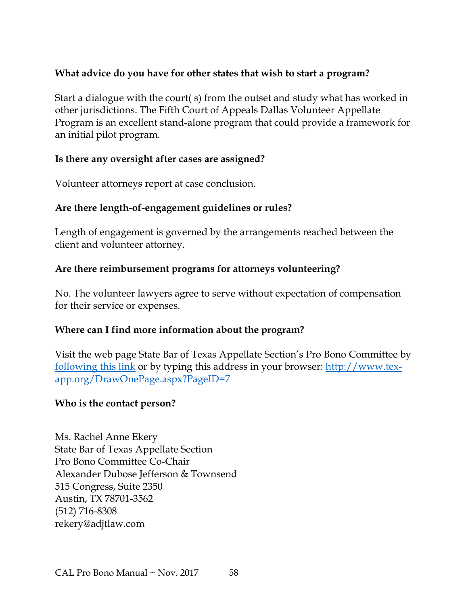#### **What advice do you have for other states that wish to start a program?**

Start a dialogue with the court( s) from the outset and study what has worked in other jurisdictions. The Fifth Court of Appeals Dallas Volunteer Appellate Program is an excellent stand-alone program that could provide a framework for an initial pilot program.

#### **Is there any oversight after cases are assigned?**

Volunteer attorneys report at case conclusion.

#### **Are there length-of-engagement guidelines or rules?**

Length of engagement is governed by the arrangements reached between the client and volunteer attorney.

#### **Are there reimbursement programs for attorneys volunteering?**

No. The volunteer lawyers agree to serve without expectation of compensation for their service or expenses.

#### **Where can I find more information about the program?**

Visit the web page State Bar of Texas Appellate Section's Pro Bono Committee by [following this link](http://www.tex-app.org/DrawOnePage.aspx?PageID=7) or by typing this address in your browser: [http://www.tex](http://www.tex-app.org/DrawOnePage.aspx?PageID=7)[app.org/DrawOnePage.aspx?PageID=7](http://www.tex-app.org/DrawOnePage.aspx?PageID=7)

#### **Who is the contact person?**

Ms. Rachel Anne Ekery State Bar of Texas Appellate Section Pro Bono Committee Co-Chair Alexander Dubose Jefferson & Townsend 515 Congress, Suite 2350 Austin, TX 78701-3562 (512) 716-8308 rekery@adjtlaw.com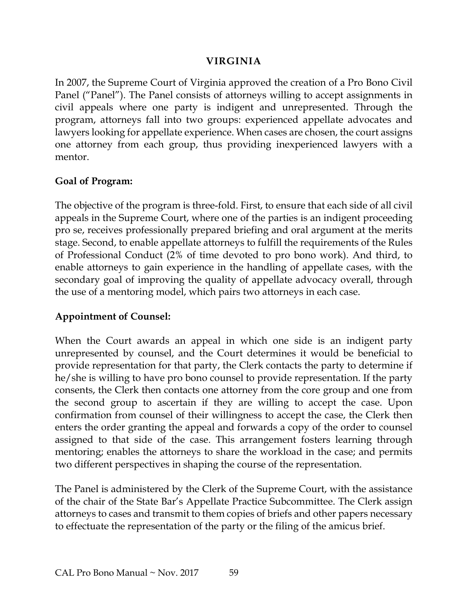#### **VIRGINIA**

<span id="page-61-0"></span>In 2007, the Supreme Court of Virginia approved the creation of a Pro Bono Civil Panel ("Panel"). The Panel consists of attorneys willing to accept assignments in civil appeals where one party is indigent and unrepresented. Through the program, attorneys fall into two groups: experienced appellate advocates and lawyers looking for appellate experience. When cases are chosen, the court assigns one attorney from each group, thus providing inexperienced lawyers with a mentor.

#### **Goal of Program:**

The objective of the program is three-fold. First, to ensure that each side of all civil appeals in the Supreme Court, where one of the parties is an indigent proceeding pro se, receives professionally prepared briefing and oral argument at the merits stage. Second, to enable appellate attorneys to fulfill the requirements of the Rules of Professional Conduct (2% of time devoted to pro bono work). And third, to enable attorneys to gain experience in the handling of appellate cases, with the secondary goal of improving the quality of appellate advocacy overall, through the use of a mentoring model, which pairs two attorneys in each case.

#### **Appointment of Counsel:**

When the Court awards an appeal in which one side is an indigent party unrepresented by counsel, and the Court determines it would be beneficial to provide representation for that party, the Clerk contacts the party to determine if he/she is willing to have pro bono counsel to provide representation. If the party consents, the Clerk then contacts one attorney from the core group and one from the second group to ascertain if they are willing to accept the case. Upon confirmation from counsel of their willingness to accept the case, the Clerk then enters the order granting the appeal and forwards a copy of the order to counsel assigned to that side of the case. This arrangement fosters learning through mentoring; enables the attorneys to share the workload in the case; and permits two different perspectives in shaping the course of the representation.

The Panel is administered by the Clerk of the Supreme Court, with the assistance of the chair of the State Bar's Appellate Practice Subcommittee. The Clerk assign attorneys to cases and transmit to them copies of briefs and other papers necessary to effectuate the representation of the party or the filing of the amicus brief.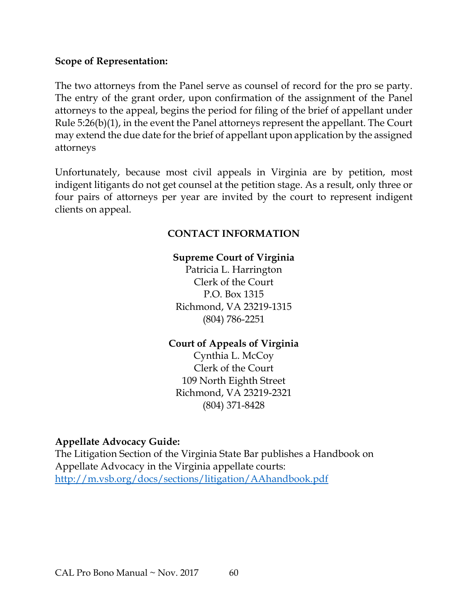#### **Scope of Representation:**

The two attorneys from the Panel serve as counsel of record for the pro se party. The entry of the grant order, upon confirmation of the assignment of the Panel attorneys to the appeal, begins the period for filing of the brief of appellant under Rule 5:26(b)(1), in the event the Panel attorneys represent the appellant. The Court may extend the due date for the brief of appellant upon application by the assigned attorneys

Unfortunately, because most civil appeals in Virginia are by petition, most indigent litigants do not get counsel at the petition stage. As a result, only three or four pairs of attorneys per year are invited by the court to represent indigent clients on appeal.

#### **CONTACT INFORMATION**

#### **Supreme Court of Virginia**

Patricia L. Harrington Clerk of the Court P.O. Box 1315 Richmond, VA 23219-1315 (804) 786-2251

#### **Court of Appeals of Virginia**

Cynthia L. McCoy Clerk of the Court 109 North Eighth Street Richmond, VA 23219-2321 (804) 371-8428

#### **Appellate Advocacy Guide:**

The Litigation Section of the Virginia State Bar publishes a Handbook on Appellate Advocacy in the Virginia appellate courts: <http://m.vsb.org/docs/sections/litigation/AAhandbook.pdf>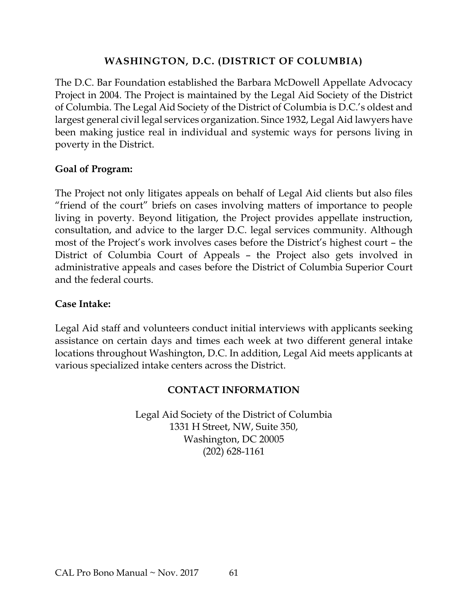#### **WASHINGTON, D.C. (DISTRICT OF COLUMBIA)**

<span id="page-63-0"></span>The D.C. Bar Foundation established the Barbara McDowell Appellate Advocacy Project in 2004. The Project is maintained by the Legal Aid Society of the District of Columbia. The Legal Aid Society of the District of Columbia is D.C.'s oldest and largest general civil legal services organization. Since 1932, Legal Aid lawyers have been making justice real in individual and systemic ways for persons living in poverty in the District.

#### **Goal of Program:**

The Project not only litigates appeals on behalf of Legal Aid clients but also files "friend of the court" briefs on cases involving matters of importance to people living in poverty. Beyond litigation, the Project provides appellate instruction, consultation, and advice to the larger D.C. legal services community. Although most of the Project's work involves cases before the District's highest court – the District of Columbia Court of Appeals – the Project also gets involved in administrative appeals and cases before the District of Columbia Superior Court and the federal courts.

#### **Case Intake:**

Legal Aid staff and volunteers conduct initial interviews with applicants seeking assistance on certain days and times each week at two different general intake locations throughout Washington, D.C. In addition, Legal Aid meets applicants at various specialized intake centers across the District.

#### **CONTACT INFORMATION**

Legal Aid Society of the District of Columbia 1331 H Street, NW, Suite 350, Washington, DC 20005 (202) 628-1161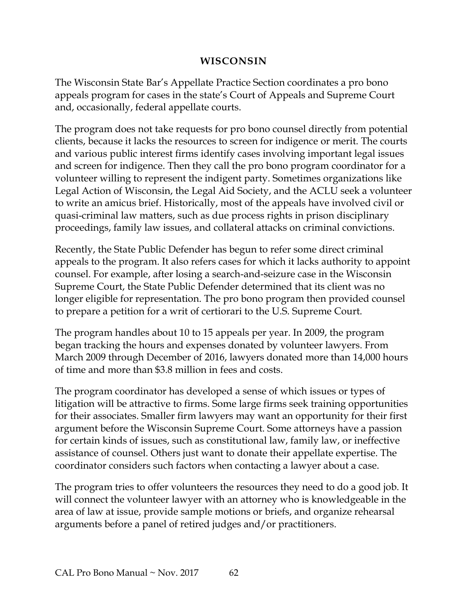#### **WISCONSIN**

<span id="page-64-0"></span>The Wisconsin State Bar's Appellate Practice Section coordinates a pro bono appeals program for cases in the state's Court of Appeals and Supreme Court and, occasionally, federal appellate courts.

The program does not take requests for pro bono counsel directly from potential clients, because it lacks the resources to screen for indigence or merit. The courts and various public interest firms identify cases involving important legal issues and screen for indigence. Then they call the pro bono program coordinator for a volunteer willing to represent the indigent party. Sometimes organizations like Legal Action of Wisconsin, the Legal Aid Society, and the ACLU seek a volunteer to write an amicus brief. Historically, most of the appeals have involved civil or quasi-criminal law matters, such as due process rights in prison disciplinary proceedings, family law issues, and collateral attacks on criminal convictions.

Recently, the State Public Defender has begun to refer some direct criminal appeals to the program. It also refers cases for which it lacks authority to appoint counsel. For example, after losing a search-and-seizure case in the Wisconsin Supreme Court, the State Public Defender determined that its client was no longer eligible for representation. The pro bono program then provided counsel to prepare a petition for a writ of certiorari to the U.S. Supreme Court.

The program handles about 10 to 15 appeals per year. In 2009, the program began tracking the hours and expenses donated by volunteer lawyers. From March 2009 through December of 2016, lawyers donated more than 14,000 hours of time and more than \$3.8 million in fees and costs.

The program coordinator has developed a sense of which issues or types of litigation will be attractive to firms. Some large firms seek training opportunities for their associates. Smaller firm lawyers may want an opportunity for their first argument before the Wisconsin Supreme Court. Some attorneys have a passion for certain kinds of issues, such as constitutional law, family law, or ineffective assistance of counsel. Others just want to donate their appellate expertise. The coordinator considers such factors when contacting a lawyer about a case.

The program tries to offer volunteers the resources they need to do a good job. It will connect the volunteer lawyer with an attorney who is knowledgeable in the area of law at issue, provide sample motions or briefs, and organize rehearsal arguments before a panel of retired judges and/or practitioners.